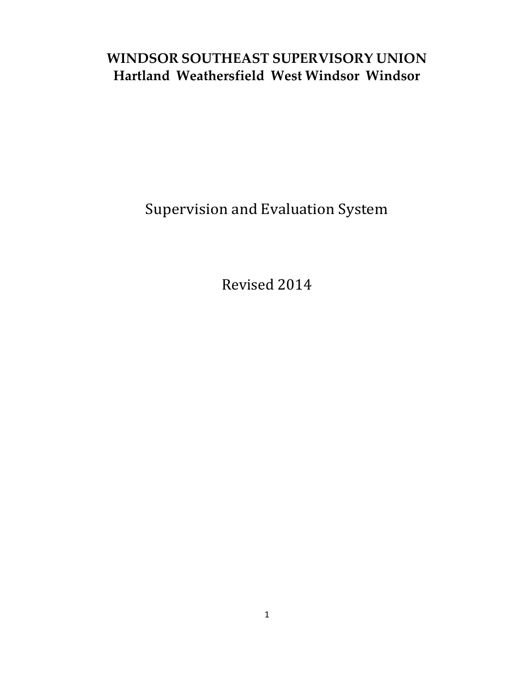## **WINDSOR SOUTHEAST SUPERVISORY UNION Hartland Weathersfield West Windsor Windsor**

Supervision and Evaluation System

Revised 2014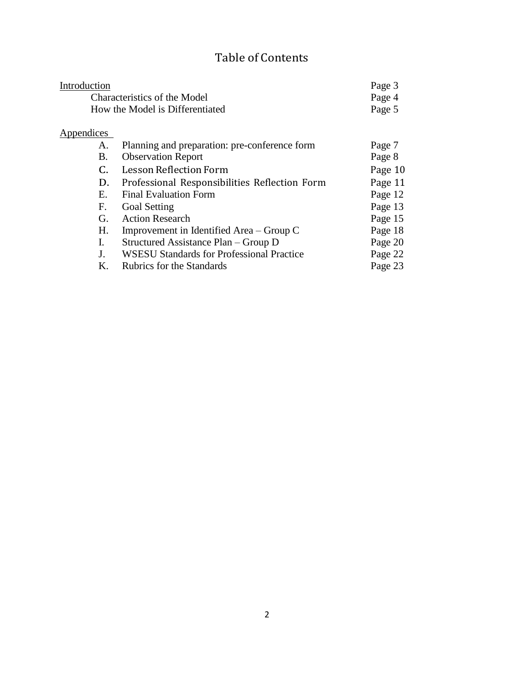## Table of Contents

| Introduction                 |                                                  | Page 3  |
|------------------------------|--------------------------------------------------|---------|
| Characteristics of the Model |                                                  | Page 4  |
|                              | How the Model is Differentiated                  | Page 5  |
| Appendices                   |                                                  |         |
| А.                           | Planning and preparation: pre-conference form    | Page 7  |
| В.                           | <b>Observation Report</b>                        | Page 8  |
| C.                           | <b>Lesson Reflection Form</b>                    | Page 10 |
| D.                           | Professional Responsibilities Reflection Form    | Page 11 |
| E.                           | <b>Final Evaluation Form</b>                     | Page 12 |
| F.                           | <b>Goal Setting</b>                              | Page 13 |
| G.                           | <b>Action Research</b>                           | Page 15 |
| H.                           | Improvement in Identified Area – Group C         | Page 18 |
| I.                           | Structured Assistance Plan – Group D             | Page 20 |
| J.                           | <b>WSESU Standards for Professional Practice</b> | Page 22 |
| Κ.                           | <b>Rubrics for the Standards</b>                 | Page 23 |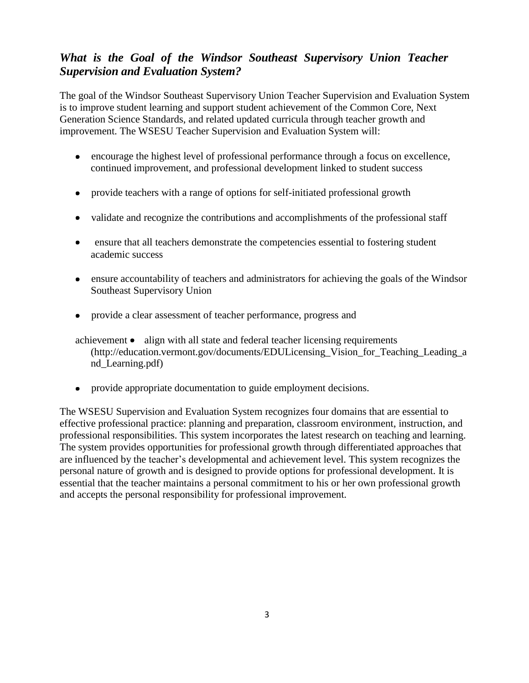## *What is the Goal of the Windsor Southeast Supervisory Union Teacher Supervision and Evaluation System?*

The goal of the Windsor Southeast Supervisory Union Teacher Supervision and Evaluation System is to improve student learning and support student achievement of the Common Core, Next Generation Science Standards, and related updated curricula through teacher growth and improvement. The WSESU Teacher Supervision and Evaluation System will:

- encourage the highest level of professional performance through a focus on excellence, continued improvement, and professional development linked to student success
- provide teachers with a range of options for self-initiated professional growth
- validate and recognize the contributions and accomplishments of the professional staff
- ensure that all teachers demonstrate the competencies essential to fostering student academic success
- ensure accountability of teachers and administrators for achieving the goals of the Windsor Southeast Supervisory Union
- provide a clear assessment of teacher performance, progress and
- $achievement  $\bullet$  align with all state and federal teacher licensing requirements$ [\(http://education.vermont.gov/documents/EDULicensing\\_Vision\\_for\\_Teaching\\_Leading\\_a](http://education.vermont.gov/documents/EDULicensing_Vision_for_Teaching_Leading_a) nd\_Learning.pdf)
- provide appropriate documentation to guide employment decisions.  $\bullet$

The WSESU Supervision and Evaluation System recognizes four domains that are essential to effective professional practice: planning and preparation, classroom environment, instruction, and professional responsibilities. This system incorporates the latest research on teaching and learning. The system provides opportunities for professional growth through differentiated approaches that are influenced by the teacher's developmental and achievement level. This system recognizes the personal nature of growth and is designed to provide options for professional development. It is essential that the teacher maintains a personal commitment to his or her own professional growth and accepts the personal responsibility for professional improvement.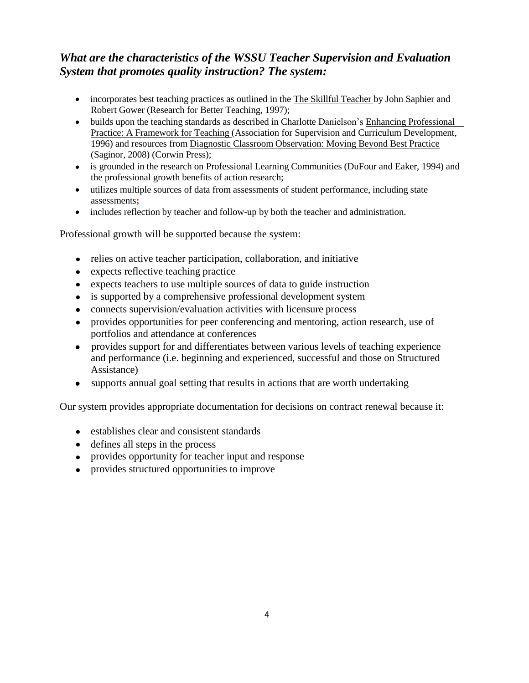## *What are the characteristics of the WSSU Teacher Supervision and Evaluation System that promotes quality instruction? The system:*

- incorporates best teaching practices as outlined in the The Skillful Teacher by John Saphier and Robert Gower (Research for Better Teaching, 1997);
- builds upon the teaching standards as described in Charlotte Danielson's Enhancing Professional Practice: A Framework for Teaching (Association for Supervision and Curriculum Development, 1996) and resources from Diagnostic Classroom Observation: Moving Beyond Best Practice (Saginor, 2008) (Corwin Press);
- is grounded in the research on Professional Learning Communities (DuFour and Eaker, 1994) and the professional growth benefits of action research;
- utilizes multiple sources of data from assessments of student performance, including state assessments**;**
- includes reflection by teacher and follow-up by both the teacher and administration.

Professional growth will be supported because the system:

- relies on active teacher participation, collaboration, and initiative
- expects reflective teaching practice
- expects teachers to use multiple sources of data to guide instruction
- is supported by a comprehensive professional development system
- connects supervision/evaluation activities with licensure process
- provides opportunities for peer conferencing and mentoring, action research, use of  $\bullet$ portfolios and attendance at conferences
- provides support for and differentiates between various levels of teaching experience and performance (i.e. beginning and experienced, successful and those on Structured Assistance)
- supports annual goal setting that results in actions that are worth undertaking

Our system provides appropriate documentation for decisions on contract renewal because it:

- establishes clear and consistent standards
- defines all steps in the process
- provides opportunity for teacher input and response
- provides structured opportunities to improve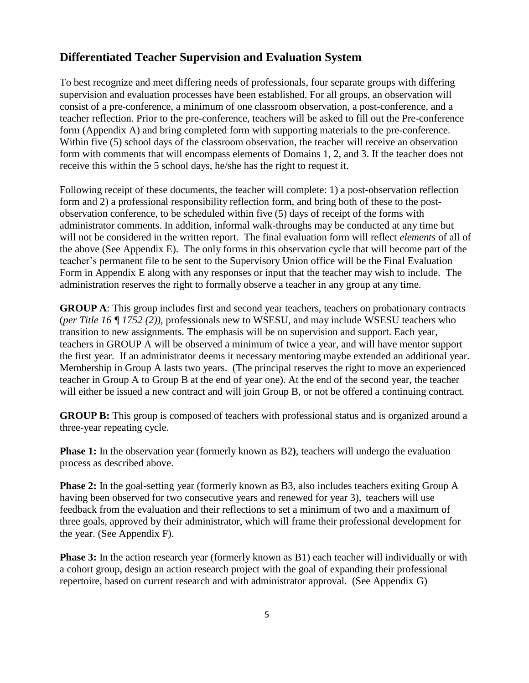#### **Differentiated Teacher Supervision and Evaluation System**

To best recognize and meet differing needs of professionals, four separate groups with differing supervision and evaluation processes have been established. For all groups, an observation will consist of a pre-conference, a minimum of one classroom observation, a post-conference, and a teacher reflection. Prior to the pre-conference, teachers will be asked to fill out the Pre-conference form (Appendix A) and bring completed form with supporting materials to the pre-conference. Within five (5) school days of the classroom observation, the teacher will receive an observation form with comments that will encompass elements of Domains 1, 2, and 3. If the teacher does not receive this within the 5 school days, he/she has the right to request it.

Following receipt of these documents, the teacher will complete: 1) a post-observation reflection form and 2) a professional responsibility reflection form, and bring both of these to the postobservation conference, to be scheduled within five (5) days of receipt of the forms with administrator comments. In addition, informal walk-throughs may be conducted at any time but will not be considered in the written report. The final evaluation form will reflect *elements* of all of the above (See Appendix E). The only forms in this observation cycle that will become part of the teacher's permanent file to be sent to the Supervisory Union office will be the Final Evaluation Form in Appendix E along with any responses or input that the teacher may wish to include. The administration reserves the right to formally observe a teacher in any group at any time.

**GROUP A**: This group includes first and second year teachers, teachers on probationary contracts (*per Title 16 ¶ 1752 (2))*, professionals new to WSESU, and may include WSESU teachers who transition to new assignments. The emphasis will be on supervision and support. Each year, teachers in GROUP A will be observed a minimum of twice a year, and will have mentor support the first year. If an administrator deems it necessary mentoring maybe extended an additional year. Membership in Group A lasts two years. (The principal reserves the right to move an experienced teacher in Group A to Group B at the end of year one). At the end of the second year, the teacher will either be issued a new contract and will join Group B, or not be offered a continuing contract.

**GROUP B:** This group is composed of teachers with professional status and is organized around a three-year repeating cycle.

**Phase 1:** In the observation year (formerly known as B2**)**, teachers will undergo the evaluation process as described above.

**Phase 2:** In the goal-setting year (formerly known as B3, also includes teachers exiting Group A having been observed for two consecutive years and renewed for year 3), teachers will use feedback from the evaluation and their reflections to set a minimum of two and a maximum of three goals, approved by their administrator, which will frame their professional development for the year. (See Appendix F).

**Phase 3:** In the action research year (formerly known as B1) each teacher will individually or with a cohort group, design an action research project with the goal of expanding their professional repertoire, based on current research and with administrator approval. (See Appendix G)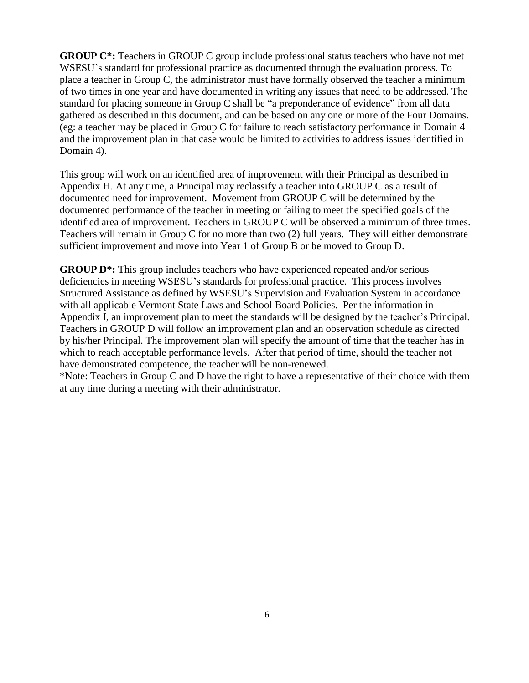**GROUP C\*:** Teachers in GROUP C group include professional status teachers who have not met WSESU's standard for professional practice as documented through the evaluation process. To place a teacher in Group C, the administrator must have formally observed the teacher a minimum of two times in one year and have documented in writing any issues that need to be addressed. The standard for placing someone in Group C shall be "a preponderance of evidence" from all data gathered as described in this document, and can be based on any one or more of the Four Domains. (eg: a teacher may be placed in Group C for failure to reach satisfactory performance in Domain 4 and the improvement plan in that case would be limited to activities to address issues identified in Domain 4).

This group will work on an identified area of improvement with their Principal as described in Appendix H. At any time, a Principal may reclassify a teacher into GROUP C as a result of documented need for improvement. Movement from GROUP C will be determined by the documented performance of the teacher in meeting or failing to meet the specified goals of the identified area of improvement. Teachers in GROUP C will be observed a minimum of three times. Teachers will remain in Group C for no more than two (2) full years. They will either demonstrate sufficient improvement and move into Year 1 of Group B or be moved to Group D.

**GROUP D\*:** This group includes teachers who have experienced repeated and/or serious deficiencies in meeting WSESU's standards for professional practice. This process involves Structured Assistance as defined by WSESU's Supervision and Evaluation System in accordance with all applicable Vermont State Laws and School Board Policies. Per the information in Appendix I, an improvement plan to meet the standards will be designed by the teacher's Principal. Teachers in GROUP D will follow an improvement plan and an observation schedule as directed by his/her Principal. The improvement plan will specify the amount of time that the teacher has in which to reach acceptable performance levels. After that period of time, should the teacher not have demonstrated competence, the teacher will be non-renewed.

\*Note: Teachers in Group C and D have the right to have a representative of their choice with them at any time during a meeting with their administrator.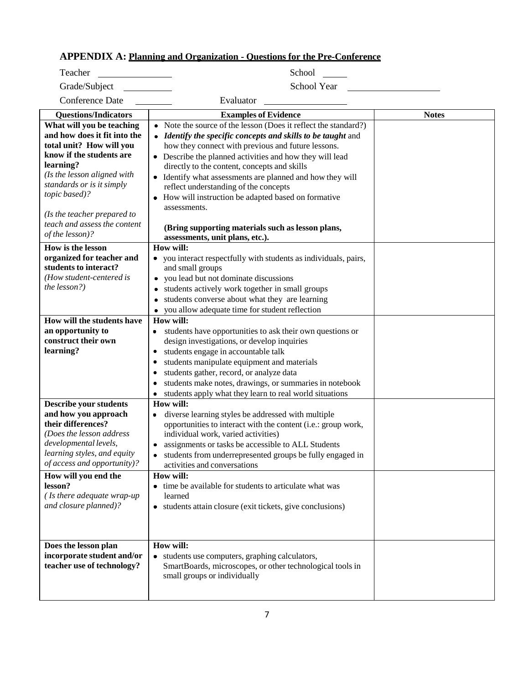#### **APPENDIX A: Planning and Organization - Questions for the Pre-Conference**

| Teacher                                                                                                                                                                                                                                                                    | School                                                                                                                                                                                                                                                                                                                                                                                                                                                                          |              |
|----------------------------------------------------------------------------------------------------------------------------------------------------------------------------------------------------------------------------------------------------------------------------|---------------------------------------------------------------------------------------------------------------------------------------------------------------------------------------------------------------------------------------------------------------------------------------------------------------------------------------------------------------------------------------------------------------------------------------------------------------------------------|--------------|
| Grade/Subject                                                                                                                                                                                                                                                              | School Year                                                                                                                                                                                                                                                                                                                                                                                                                                                                     |              |
| Conference Date                                                                                                                                                                                                                                                            | Evaluator                                                                                                                                                                                                                                                                                                                                                                                                                                                                       |              |
| <b>Questions/Indicators</b>                                                                                                                                                                                                                                                | <b>Examples of Evidence</b>                                                                                                                                                                                                                                                                                                                                                                                                                                                     | <b>Notes</b> |
| What will you be teaching<br>and how does it fit into the<br>total unit? How will you<br>know if the students are<br>learning?<br>(Is the lesson aligned with<br>standards or is it simply<br>topic based)?<br>(Is the teacher prepared to<br>teach and assess the content | • Note the source of the lesson (Does it reflect the standard?)<br>• Identify the specific concepts and skills to be taught and<br>how they connect with previous and future lessons.<br>• Describe the planned activities and how they will lead<br>directly to the content, concepts and skills<br>• Identify what assessments are planned and how they will<br>reflect understanding of the concepts<br>• How will instruction be adapted based on formative<br>assessments. |              |
| of the lesson)?                                                                                                                                                                                                                                                            | (Bring supporting materials such as lesson plans,<br>assessments, unit plans, etc.).                                                                                                                                                                                                                                                                                                                                                                                            |              |
| <b>How is the lesson</b><br>organized for teacher and<br>students to interact?<br>(How student-centered is<br>the lesson?)                                                                                                                                                 | How will:<br>• you interact respectfully with students as individuals, pairs,<br>and small groups<br>you lead but not dominate discussions<br>students actively work together in small groups<br>students converse about what they are learning<br>you allow adequate time for student reflection                                                                                                                                                                               |              |
| How will the students have                                                                                                                                                                                                                                                 | How will:                                                                                                                                                                                                                                                                                                                                                                                                                                                                       |              |
| an opportunity to<br>construct their own<br>learning?                                                                                                                                                                                                                      | students have opportunities to ask their own questions or<br>design investigations, or develop inquiries<br>students engage in accountable talk<br>students manipulate equipment and materials<br>students gather, record, or analyze data<br>students make notes, drawings, or summaries in notebook<br>students apply what they learn to real world situations                                                                                                                |              |
| <b>Describe your students</b><br>and how you approach<br>their differences?<br>(Does the lesson address<br>developmental levels,<br>learning styles, and equity<br>of access and opportunity)?                                                                             | How will:<br>diverse learning styles be addressed with multiple<br>opportunities to interact with the content (i.e.: group work,<br>individual work, varied activities)<br>assignments or tasks be accessible to ALL Students<br>۰<br>• students from underrepresented groups be fully engaged in<br>activities and conversations<br>How will:                                                                                                                                  |              |
| How will you end the<br>lesson?<br>(Is there adequate wrap-up<br>and closure planned)?                                                                                                                                                                                     | time be available for students to articulate what was<br>learned<br>• students attain closure (exit tickets, give conclusions)                                                                                                                                                                                                                                                                                                                                                  |              |
| Does the lesson plan<br>incorporate student and/or<br>teacher use of technology?                                                                                                                                                                                           | How will:<br>• students use computers, graphing calculators,<br>SmartBoards, microscopes, or other technological tools in<br>small groups or individually                                                                                                                                                                                                                                                                                                                       |              |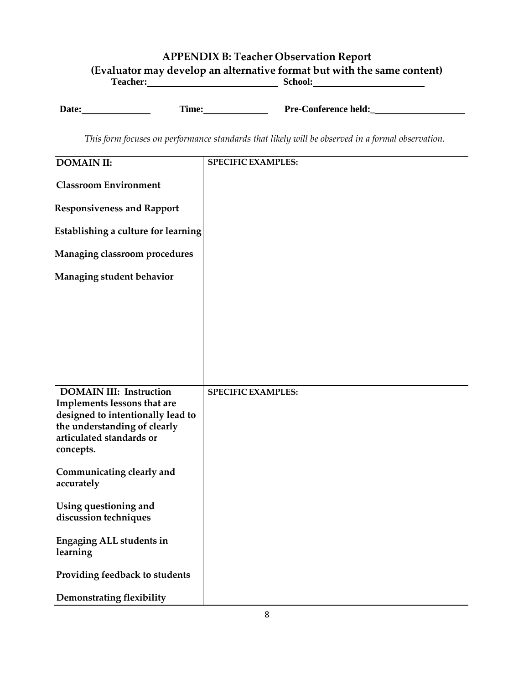#### **APPENDIX B: Teacher Observation Report (Evaluator may develop an alternative format but with the same content)** Teacher: **School:** School: **School: School: School: School: School: School: School: School: School: School: School: School: School: School: School: SCHOOL: SCHOOL: SCHOOL: SCHOOL: SCHO**

**Date: Time: Pre-Conference held:** 

*This form focuses on performance standards that likely will be observed in a formal observation.*

| <b>DOMAIN II:</b>                                                                                                                                                           | <b>SPECIFIC EXAMPLES:</b> |
|-----------------------------------------------------------------------------------------------------------------------------------------------------------------------------|---------------------------|
| <b>Classroom Environment</b>                                                                                                                                                |                           |
| <b>Responsiveness and Rapport</b>                                                                                                                                           |                           |
| Establishing a culture for learning                                                                                                                                         |                           |
| Managing classroom procedures                                                                                                                                               |                           |
| Managing student behavior                                                                                                                                                   |                           |
|                                                                                                                                                                             |                           |
|                                                                                                                                                                             |                           |
|                                                                                                                                                                             |                           |
|                                                                                                                                                                             |                           |
| <b>DOMAIN III: Instruction</b><br>Implements lessons that are<br>designed to intentionally lead to<br>the understanding of clearly<br>articulated standards or<br>concepts. | <b>SPECIFIC EXAMPLES:</b> |
| Communicating clearly and<br>accurately                                                                                                                                     |                           |
| Using questioning and<br>discussion techniques                                                                                                                              |                           |
| Engaging ALL students in<br>learning                                                                                                                                        |                           |
| Providing feedback to students                                                                                                                                              |                           |
| <b>Demonstrating flexibility</b>                                                                                                                                            |                           |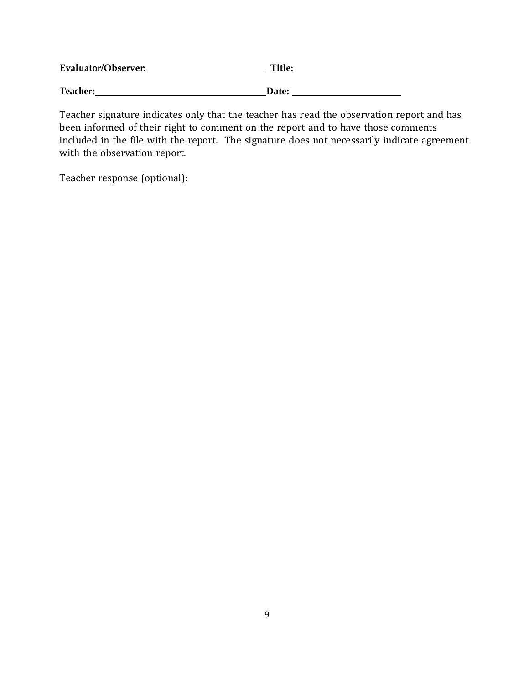| Evaluator/Observer: | Title:       |  |
|---------------------|--------------|--|
| <b>Teacher:</b>     | <b>Date:</b> |  |

Teacher signature indicates only that the teacher has read the observation report and has been informed of their right to comment on the report and to have those comments included in the file with the report. The signature does not necessarily indicate agreement with the observation report.

Teacher response (optional):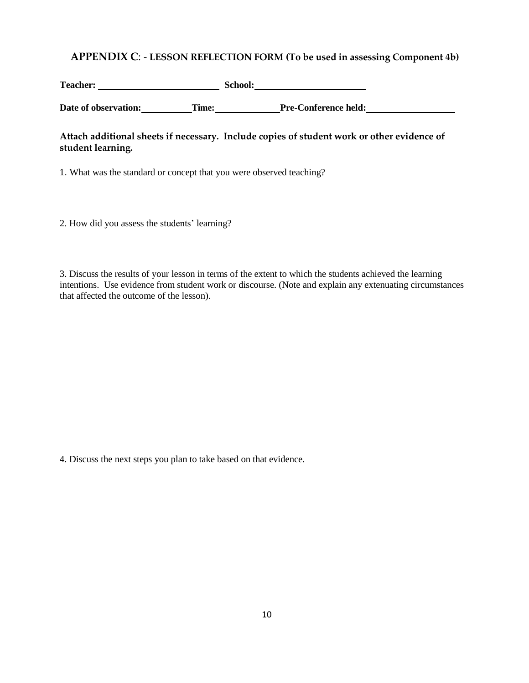#### **APPENDIX C**: - **LESSON REFLECTION FORM (To be used in assessing Component 4b)**

Teacher: School: School: School: School: School: School: School: School: School: School: School: School: School: School: School: School: School: School: School: School: School: School: School: School: School: School: Schoo

**Date** of observation: **Time: Pre-Conference held: Pre-Conference held:** 

#### **Attach additional sheets if necessary. Include copies of student work or other evidence of student learning.**

1. What was the standard or concept that you were observed teaching?

2. How did you assess the students' learning?

3. Discuss the results of your lesson in terms of the extent to which the students achieved the learning intentions. Use evidence from student work or discourse. (Note and explain any extenuating circumstances that affected the outcome of the lesson).

4. Discuss the next steps you plan to take based on that evidence.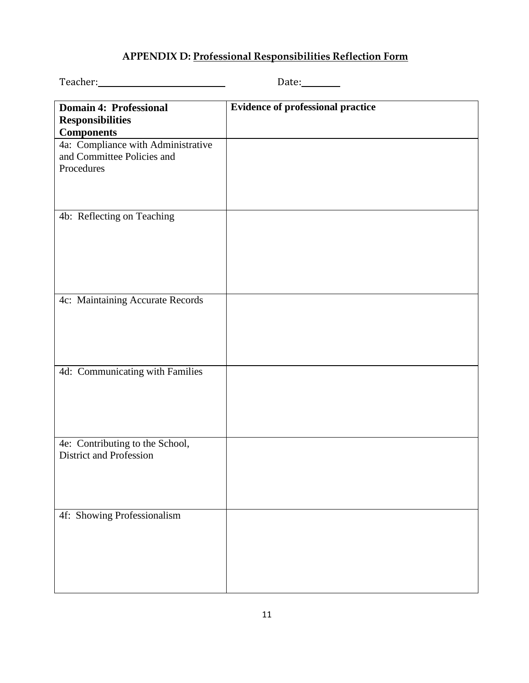## **APPENDIX D: Professional Responsibilities Reflection Form**

|                                                                                | Date:                                    |
|--------------------------------------------------------------------------------|------------------------------------------|
| <b>Domain 4: Professional</b><br><b>Responsibilities</b><br><b>Components</b>  | <b>Evidence of professional practice</b> |
| 4a: Compliance with Administrative<br>and Committee Policies and<br>Procedures |                                          |
| 4b: Reflecting on Teaching                                                     |                                          |
| 4c: Maintaining Accurate Records                                               |                                          |
| 4d: Communicating with Families                                                |                                          |
| 4e: Contributing to the School,<br><b>District and Profession</b>              |                                          |
| 4f: Showing Professionalism                                                    |                                          |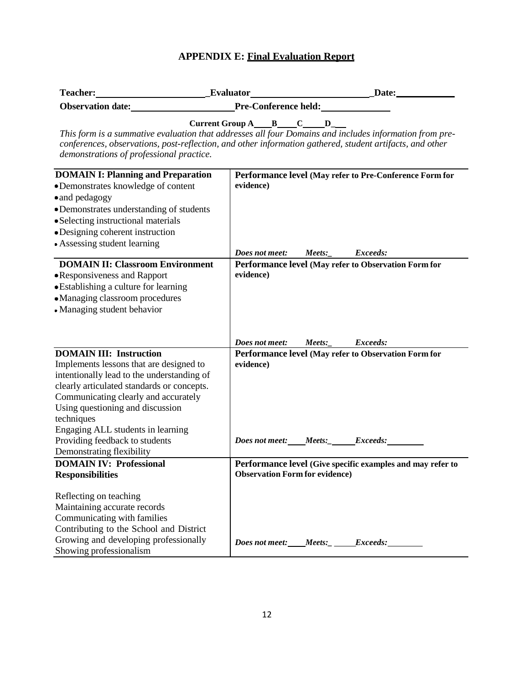#### **APPENDIX E: Final Evaluation Report**

| <b>Teacher:</b>          | <b>Evaluator</b>                       | <b>Date:</b> |
|--------------------------|----------------------------------------|--------------|
| <b>Observation date:</b> | <b>Pre-Conference held:</b>            |              |
| ---                      | ___<br>the contract of the contract of |              |

**Current Group A B C D\_** *This form is a summative evaluation that addresses all four Domains and includes information from preconferences, observations, post-reflection, and other information gathered, student artifacts, and other demonstrations of professional practice.*

| <b>DOMAIN I: Planning and Preparation</b>  | Performance level (May refer to Pre-Conference Form for    |
|--------------------------------------------|------------------------------------------------------------|
| •Demonstrates knowledge of content         | evidence)                                                  |
| • and pedagogy                             |                                                            |
| • Demonstrates understanding of students   |                                                            |
| • Selecting instructional materials        |                                                            |
| • Designing coherent instruction           |                                                            |
| • Assessing student learning               |                                                            |
|                                            | Does not meet:<br>Meets:<br>Exceeds:                       |
| <b>DOMAIN II: Classroom Environment</b>    | Performance level (May refer to Observation Form for       |
| •Responsiveness and Rapport                | evidence)                                                  |
| • Establishing a culture for learning      |                                                            |
| • Managing classroom procedures            |                                                            |
| • Managing student behavior                |                                                            |
|                                            |                                                            |
|                                            |                                                            |
|                                            | Does not meet:<br>Meets:<br>Exceeds:                       |
| <b>DOMAIN III: Instruction</b>             | Performance level (May refer to Observation Form for       |
| Implements lessons that are designed to    | evidence)                                                  |
| intentionally lead to the understanding of |                                                            |
| clearly articulated standards or concepts. |                                                            |
| Communicating clearly and accurately       |                                                            |
| Using questioning and discussion           |                                                            |
| techniques                                 |                                                            |
| Engaging ALL students in learning          |                                                            |
| Providing feedback to students             | Does not meet: Meets: Exceeds:                             |
| Demonstrating flexibility                  |                                                            |
| <b>DOMAIN IV: Professional</b>             | Performance level (Give specific examples and may refer to |
| <b>Responsibilities</b>                    | <b>Observation Form for evidence)</b>                      |
|                                            |                                                            |
| Reflecting on teaching                     |                                                            |
| Maintaining accurate records               |                                                            |
| Communicating with families                |                                                            |
| Contributing to the School and District    |                                                            |
| Growing and developing professionally      | Does not meet: Meets: Exceeds:                             |
| Showing professionalism                    |                                                            |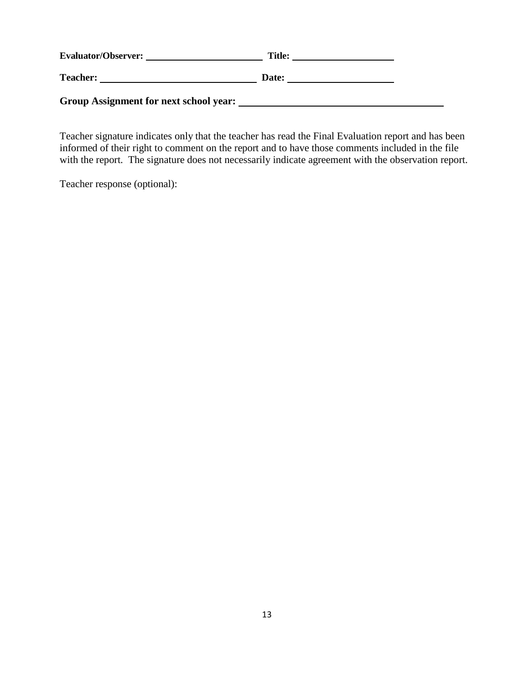| <b>Evaluator/Observer:</b>             | <b>Title:</b> |  |
|----------------------------------------|---------------|--|
| <b>Teacher:</b>                        | Date:         |  |
| Group Assignment for next school year: |               |  |

Teacher signature indicates only that the teacher has read the Final Evaluation report and has been informed of their right to comment on the report and to have those comments included in the file with the report. The signature does not necessarily indicate agreement with the observation report.

Teacher response (optional):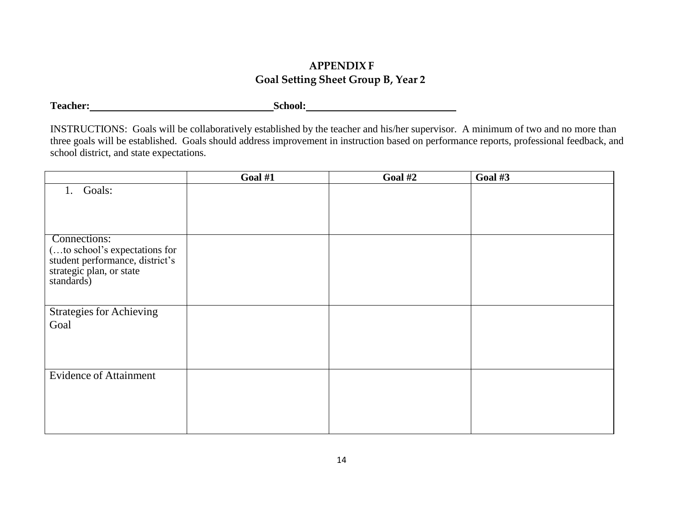## **APPENDIX F Goal Setting Sheet Group B, Year 2**

**Teacher: School:**

INSTRUCTIONS: Goals will be collaboratively established by the teacher and his/her supervisor. A minimum of two and no more than three goals will be established. Goals should address improvement in instruction based on performance reports, professional feedback, and school district, and state expectations.

|                                                                                                                            | Goal #1 | Goal #2 | Goal #3 |
|----------------------------------------------------------------------------------------------------------------------------|---------|---------|---------|
| Goals:<br>1.                                                                                                               |         |         |         |
| Connections:<br>(to school's expectations for<br>student performance, district's<br>strategic plan, or state<br>standards) |         |         |         |
| <b>Strategies for Achieving</b><br>Goal                                                                                    |         |         |         |
| <b>Evidence of Attainment</b>                                                                                              |         |         |         |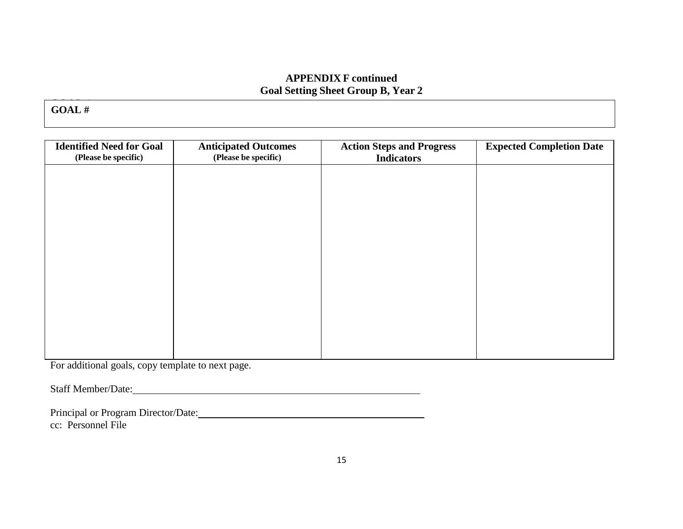#### **APPENDIX F continued Goal Setting Sheet Group B, Year 2**

GOAL 1: **GOAL #**

| <b>Identified Need for Goal</b><br>(Please be specific) | <b>Anticipated Outcomes</b><br>(Please be specific) | <b>Action Steps and Progress</b><br><b>Indicators</b> | <b>Expected Completion Date</b> |
|---------------------------------------------------------|-----------------------------------------------------|-------------------------------------------------------|---------------------------------|
|                                                         |                                                     |                                                       |                                 |
|                                                         |                                                     |                                                       |                                 |
|                                                         |                                                     |                                                       |                                 |
|                                                         |                                                     |                                                       |                                 |
|                                                         |                                                     |                                                       |                                 |
|                                                         |                                                     |                                                       |                                 |
|                                                         |                                                     |                                                       |                                 |
|                                                         |                                                     |                                                       |                                 |

For additional goals, copy template to next page.

Staff Member/Date:

Principal or Program Director/Date: cc: Personnel File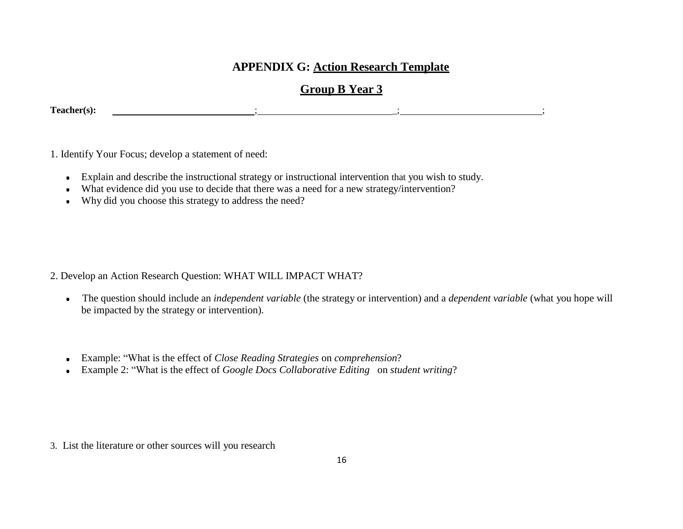## **APPENDIX G: Action Research Template**

## **Group B Year 3**

**Teacher(s):** ; \_; ;

1. Identify Your Focus; develop a statement of need:

- Explain and describe the instructional strategy or instructional intervention that you wish to study.
- What evidence did you use to decide that there was a need for a new strategy/intervention?
- Why did you choose this strategy to address the need?

2. Develop an Action Research Question: WHAT WILL IMPACT WHAT?

- The question should include an *independent variable* (the strategy or intervention) and a *dependent variable* (what you hope will be impacted by the strategy or intervention).
- Example: "What is the effect of *Close Reading Strategies* on *comprehension*?  $\bullet$
- Example 2: "What is the effect of *Google Docs Collaborative Editing* on *student writing*?

3. List the literature or other sources will you research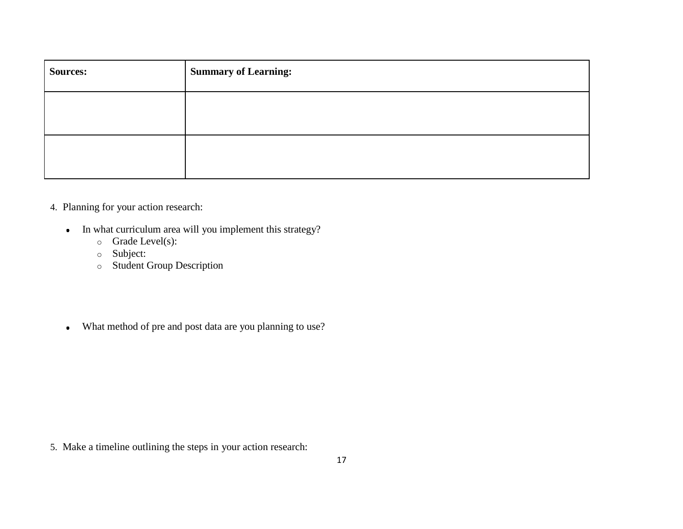| <b>Sources:</b> | <b>Summary of Learning:</b> |
|-----------------|-----------------------------|
|                 |                             |
|                 |                             |

#### 4. Planning for your action research:

- In what curriculum area will you implement this strategy?
	- o Grade Level(s):
	- o Subject:
	- o Student Group Description
- What method of pre and post data are you planning to use?

5. Make a timeline outlining the steps in your action research: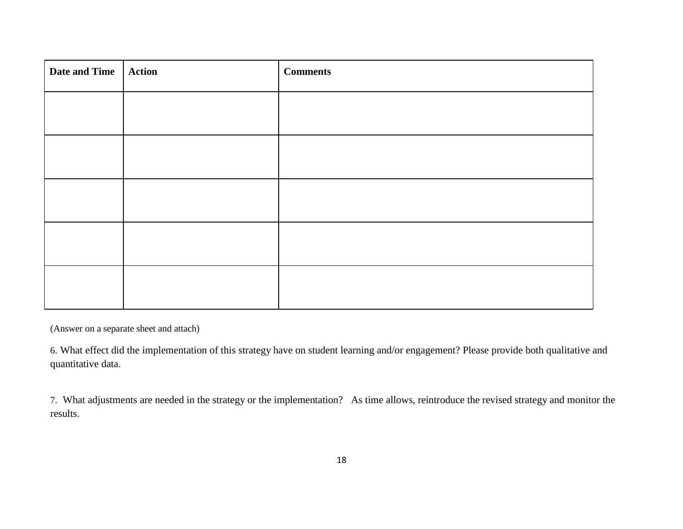| Date and Time   Action | <b>Comments</b> |
|------------------------|-----------------|
|                        |                 |
|                        |                 |
|                        |                 |
|                        |                 |
|                        |                 |
|                        |                 |

(Answer on a separate sheet and attach)

6. What effect did the implementation of this strategy have on student learning and/or engagement? Please provide both qualitative and quantitative data.

7. What adjustments are needed in the strategy or the implementation? As time allows, reintroduce the revised strategy and monitor the results.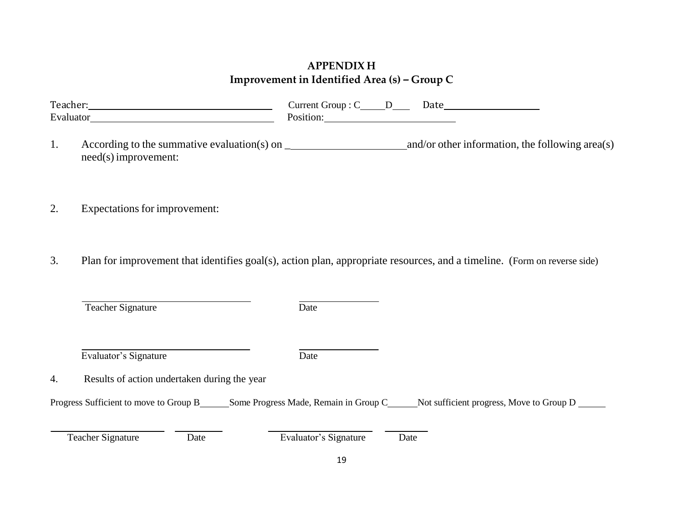## **APPENDIX H Improvement in Identified Area (s)** *–* **Group C**

| Teach.                | Date<br>11111C<br>ir∩11n<br>້ |  |
|-----------------------|-------------------------------|--|
| $Eu$ aluat<br>uw<br>- | AIOIT.                        |  |

- 1. According to the summative evaluation(s) on \_ and/or other information, the following area(s) need(s)improvement:
- 2. Expectations for improvement:
- 3. Plan for improvement that identifies goal(s), action plan, appropriate resources, and a timeline. (Form on reverse side)

| Teacher Signature | Date |
|-------------------|------|
|                   |      |

Evaluator's Signature Date

4. Results of action undertaken during the year

Progress Sufficient to move to Group B\_\_\_\_\_Some Progress Made, Remain in Group C\_\_\_\_\_Not sufficient progress, Move to Group D \_\_\_\_\_

Teacher Signature Date Date Evaluator's Signature Date

19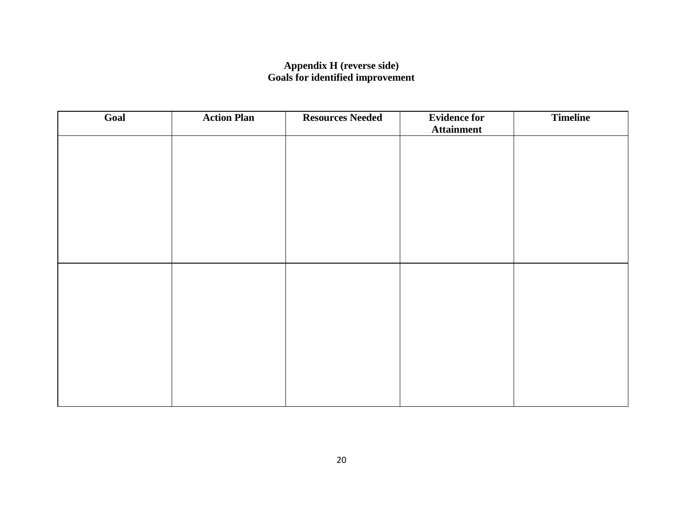#### **Appendix H (reverse side) Goals for identified improvement**

| Goal | <b>Action Plan</b> | <b>Resources Needed</b> | <b>Evidence for</b><br><b>Attainment</b> | <b>Timeline</b> |
|------|--------------------|-------------------------|------------------------------------------|-----------------|
|      |                    |                         |                                          |                 |
|      |                    |                         |                                          |                 |
|      |                    |                         |                                          |                 |
|      |                    |                         |                                          |                 |
|      |                    |                         |                                          |                 |
|      |                    |                         |                                          |                 |
|      |                    |                         |                                          |                 |
|      |                    |                         |                                          |                 |
|      |                    |                         |                                          |                 |
|      |                    |                         |                                          |                 |
|      |                    |                         |                                          |                 |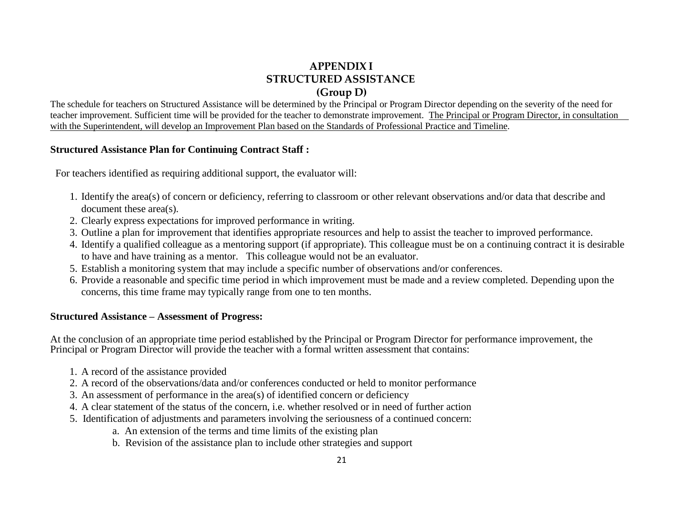## **APPENDIX I STRUCTURED ASSISTANCE (Group D)**

The schedule for teachers on Structured Assistance will be determined by the Principal or Program Director depending on the severity of the need for teacher improvement. Sufficient time will be provided for the teacher to demonstrate improvement. The Principal or Program Director, in consultation with the Superintendent, will develop an Improvement Plan based on the Standards of Professional Practice and Timeline.

#### **Structured Assistance Plan for Continuing Contract Staff :**

For teachers identified as requiring additional support, the evaluator will:

- 1. Identify the area(s) of concern or deficiency, referring to classroom or other relevant observations and/or data that describe and document these area(s).
- 2. Clearly express expectations for improved performance in writing.
- 3. Outline a plan for improvement that identifies appropriate resources and help to assist the teacher to improved performance.
- 4. Identify a qualified colleague as a mentoring support (if appropriate). This colleague must be on a continuing contract it is desirable to have and have training as a mentor. This colleague would not be an evaluator.
- 5. Establish a monitoring system that may include a specific number of observations and/or conferences.
- 6. Provide a reasonable and specific time period in which improvement must be made and a review completed. Depending upon the concerns, this time frame may typically range from one to ten months.

#### **Structured Assistance – Assessment of Progress:**

At the conclusion of an appropriate time period established by the Principal or Program Director for performance improvement, the Principal or Program Director will provide the teacher with a formal written assessment that contains:

- 1. A record of the assistance provided
- 2. A record of the observations/data and/or conferences conducted or held to monitor performance
- 3. An assessment of performance in the area(s) of identified concern or deficiency
- 4. A clear statement of the status of the concern, i.e. whether resolved or in need of further action
- 5. Identification of adjustments and parameters involving the seriousness of a continued concern:
	- a. An extension of the terms and time limits of the existing plan
	- b. Revision of the assistance plan to include other strategies and support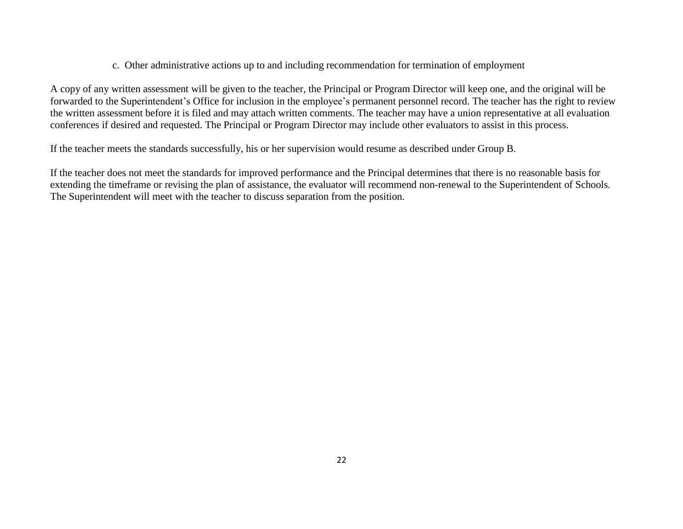#### c. Other administrative actions up to and including recommendation for termination of employment

A copy of any written assessment will be given to the teacher, the Principal or Program Director will keep one, and the original will be forwarded to the Superintendent's Office for inclusion in the employee's permanent personnel record. The teacher has the right to review the written assessment before it is filed and may attach written comments. The teacher may have a union representative at all evaluation conferences if desired and requested. The Principal or Program Director may include other evaluators to assist in this process.

If the teacher meets the standards successfully, his or her supervision would resume as described under Group B.

If the teacher does not meet the standards for improved performance and the Principal determines that there is no reasonable basis for extending the timeframe or revising the plan of assistance, the evaluator will recommend non-renewal to the Superintendent of Schools. The Superintendent will meet with the teacher to discuss separation from the position.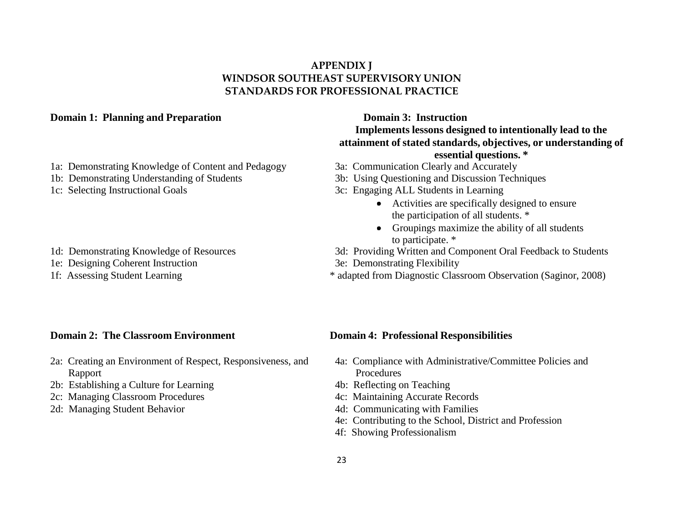#### **APPENDIX J WINDSOR SOUTHEAST SUPERVISORY UNION STANDARDS FOR PROFESSIONAL PRACTICE**

#### **Domain 1:** Planning and Preparation **Domain 2: Instruction**

- 1a: Demonstrating Knowledge of Content and Pedagogy 3a: Communication Clearly and Accurately
- 
- 
- 
- 1e: Designing Coherent Instruction 3e: Demonstrating Flexibility
- 

## **Implements lessons designed to intentionally lead to the attainment of stated standards, objectives, or understanding of essential questions. \***

- 
- 1b: Demonstrating Understanding of Students 3b: Using Questioning and Discussion Techniques
- 1c: Selecting Instructional Goals 3c: Engaging ALL Students in Learning
	- Activities are specifically designed to ensure the participation of all students. \*
	- Groupings maximize the ability of all students to participate. \*
- 1d: Demonstrating Knowledge of Resources 3d: Providing Written and Component Oral Feedback to Students
	-
- 1f: Assessing Student Learning \* adapted from Diagnostic Classroom Observation (Saginor, 2008)

#### **Domain 2:** The Classroom Environment **Domain 4:** Professional Responsibilities

- 2a: Creating an Environment of Respect, Responsiveness, and 4a: Compliance with Administrative/Committee Policies and Rapport Procedures
- 2b: Establishing a Culture for Learning 4b: Reflecting on Teaching
- 2c: Managing Classroom Procedures 4c: Maintaining Accurate Records
- 

- 
- 
- 
- 2d: Managing Student Behavior 4d: Communicating with Families
	- 4e: Contributing to the School, District and Profession
	- 4f: Showing Professionalism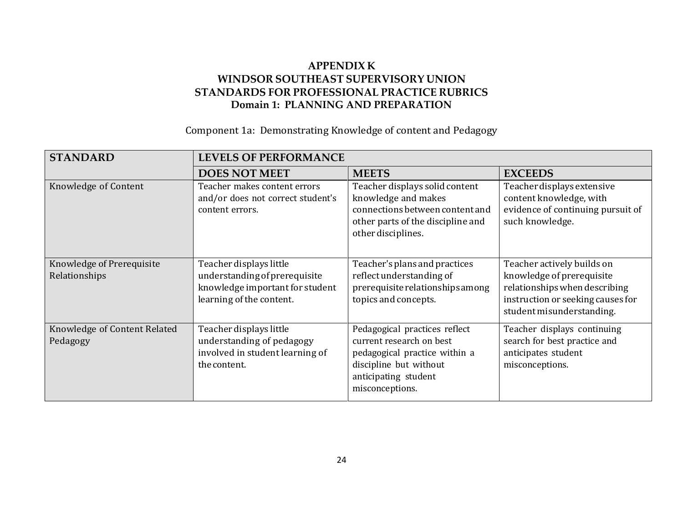## **APPENDIX K WINDSOR SOUTHEAST SUPERVISORY UNION STANDARDS FOR PROFESSIONAL PRACTICE RUBRICS Domain 1: PLANNING AND PREPARATION**

#### Component 1a: Demonstrating Knowledge of content and Pedagogy

| <b>STANDARD</b>                            | <b>LEVELS OF PERFORMANCE</b>                                                                                            |                                                                                                                                                                 |                                                                                                                                                            |
|--------------------------------------------|-------------------------------------------------------------------------------------------------------------------------|-----------------------------------------------------------------------------------------------------------------------------------------------------------------|------------------------------------------------------------------------------------------------------------------------------------------------------------|
|                                            | <b>DOES NOT MEET</b>                                                                                                    | <b>MEETS</b>                                                                                                                                                    | <b>EXCEEDS</b>                                                                                                                                             |
| Knowledge of Content                       | Teacher makes content errors<br>and/or does not correct student's<br>content errors.                                    | Teacher displays solid content<br>knowledge and makes<br>connections between content and<br>other parts of the discipline and<br>other disciplines.             | Teacher displays extensive<br>content knowledge, with<br>evidence of continuing pursuit of<br>such knowledge.                                              |
| Knowledge of Prerequisite<br>Relationships | Teacher displays little<br>understanding of prerequisite<br>knowledge important for student<br>learning of the content. | Teacher's plans and practices<br>reflect understanding of<br>prerequisite relationships among<br>topics and concepts.                                           | Teacher actively builds on<br>knowledge of prerequisite<br>relationships when describing<br>instruction or seeking causes for<br>student misunderstanding. |
| Knowledge of Content Related<br>Pedagogy   | Teacher displays little<br>understanding of pedagogy<br>involved in student learning of<br>the content.                 | Pedagogical practices reflect<br>current research on best<br>pedagogical practice within a<br>discipline but without<br>anticipating student<br>misconceptions. | Teacher displays continuing<br>search for best practice and<br>anticipates student<br>misconceptions.                                                      |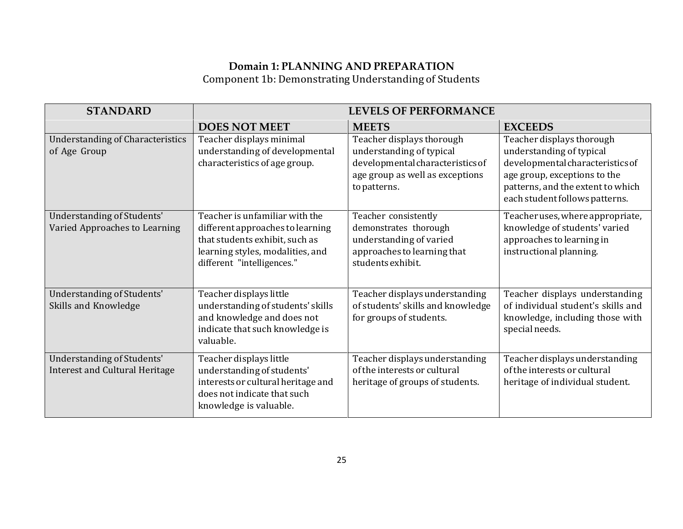## **Domain 1: PLANNING AND PREPARATION** Component 1b: Demonstrating Understanding of Students

| <b>STANDARD</b>                                                     | <b>LEVELS OF PERFORMANCE</b>                                                                                                                                           |                                                                                                                                              |                                                                                                                                                                                                  |
|---------------------------------------------------------------------|------------------------------------------------------------------------------------------------------------------------------------------------------------------------|----------------------------------------------------------------------------------------------------------------------------------------------|--------------------------------------------------------------------------------------------------------------------------------------------------------------------------------------------------|
|                                                                     | <b>DOES NOT MEET</b>                                                                                                                                                   | <b>MEETS</b>                                                                                                                                 | <b>EXCEEDS</b>                                                                                                                                                                                   |
| <b>Understanding of Characteristics</b><br>of Age Group             | Teacher displays minimal<br>understanding of developmental<br>characteristics of age group.                                                                            | Teacher displays thorough<br>understanding of typical<br>developmental characteristics of<br>age group as well as exceptions<br>to patterns. | Teacher displays thorough<br>understanding of typical<br>developmental characteristics of<br>age group, exceptions to the<br>patterns, and the extent to which<br>each student follows patterns. |
| Understanding of Students'<br>Varied Approaches to Learning         | Teacher is unfamiliar with the<br>different approaches to learning<br>that students exhibit, such as<br>learning styles, modalities, and<br>different "intelligences." | Teacher consistently<br>demonstrates thorough<br>understanding of varied<br>approaches to learning that<br>students exhibit.                 | Teacher uses, where appropriate,<br>knowledge of students' varied<br>approaches to learning in<br>instructional planning.                                                                        |
| Understanding of Students'<br>Skills and Knowledge                  | Teacher displays little<br>understanding of students' skills<br>and knowledge and does not<br>indicate that such knowledge is<br>valuable.                             | Teacher displays understanding<br>of students' skills and knowledge<br>for groups of students.                                               | Teacher displays understanding<br>of individual student's skills and<br>knowledge, including those with<br>special needs.                                                                        |
| Understanding of Students'<br><b>Interest and Cultural Heritage</b> | Teacher displays little<br>understanding of students'<br>interests or cultural heritage and<br>does not indicate that such<br>knowledge is valuable.                   | Teacher displays understanding<br>of the interests or cultural<br>heritage of groups of students.                                            | Teacher displays understanding<br>of the interests or cultural<br>heritage of individual student.                                                                                                |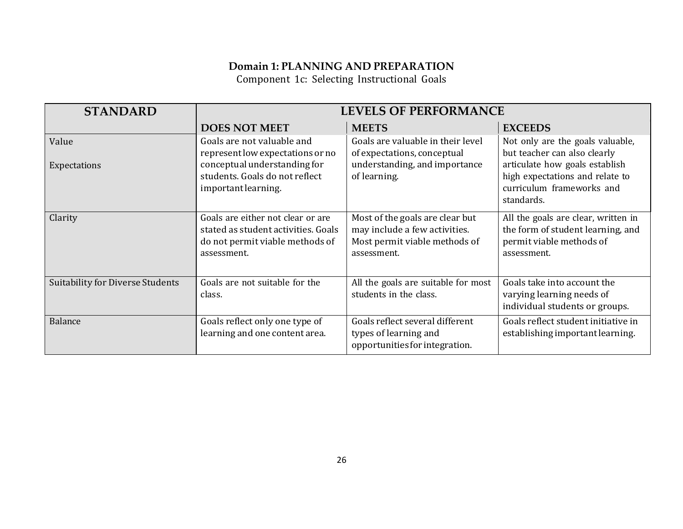Component 1c: Selecting Instructional Goals

| <b>STANDARD</b>                         |                                                                                                                            | <b>LEVELS OF PERFORMANCE</b>                                                                                     |                                                                                                                     |
|-----------------------------------------|----------------------------------------------------------------------------------------------------------------------------|------------------------------------------------------------------------------------------------------------------|---------------------------------------------------------------------------------------------------------------------|
|                                         | <b>DOES NOT MEET</b>                                                                                                       | <b>MEETS</b>                                                                                                     | <b>EXCEEDS</b>                                                                                                      |
| Value                                   | Goals are not valuable and<br>represent low expectations or no                                                             | Goals are valuable in their level<br>of expectations, conceptual                                                 | Not only are the goals valuable,<br>but teacher can also clearly                                                    |
| Expectations                            | conceptual understanding for<br>students. Goals do not reflect<br>important learning.                                      | understanding, and importance<br>of learning.                                                                    | articulate how goals establish<br>high expectations and relate to<br>curriculum frameworks and<br>standards.        |
| Clarity                                 | Goals are either not clear or are<br>stated as student activities. Goals<br>do not permit viable methods of<br>assessment. | Most of the goals are clear but<br>may include a few activities.<br>Most permit viable methods of<br>assessment. | All the goals are clear, written in<br>the form of student learning, and<br>permit viable methods of<br>assessment. |
| <b>Suitability for Diverse Students</b> | Goals are not suitable for the<br>class.                                                                                   | All the goals are suitable for most<br>students in the class.                                                    | Goals take into account the<br>varying learning needs of<br>individual students or groups.                          |
| <b>Balance</b>                          | Goals reflect only one type of<br>learning and one content area.                                                           | Goals reflect several different<br>types of learning and<br>opportunities for integration.                       | Goals reflect student initiative in<br>establishing important learning.                                             |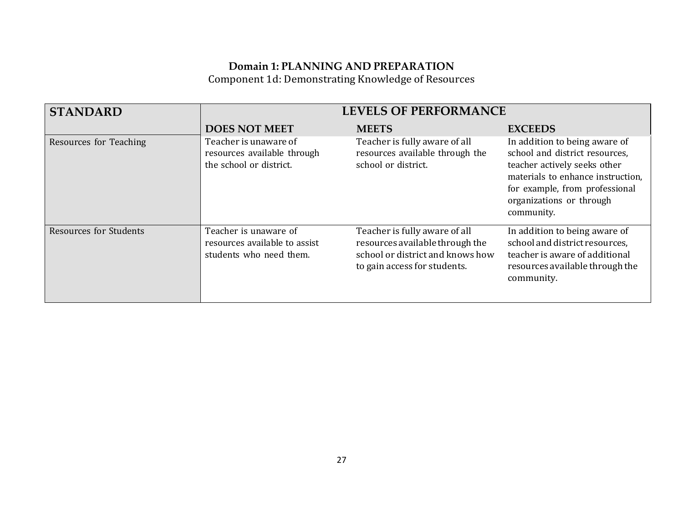Component 1d: Demonstrating Knowledge of Resources

| <b>STANDARD</b>               | <b>LEVELS OF PERFORMANCE</b>                                                      |                                                                                                                                      |                                                                                                                                                                                                                  |
|-------------------------------|-----------------------------------------------------------------------------------|--------------------------------------------------------------------------------------------------------------------------------------|------------------------------------------------------------------------------------------------------------------------------------------------------------------------------------------------------------------|
|                               | <b>DOES NOT MEET</b>                                                              | <b>MEETS</b>                                                                                                                         | <b>EXCEEDS</b>                                                                                                                                                                                                   |
| Resources for Teaching        | Teacher is unaware of<br>resources available through<br>the school or district.   | Teacher is fully aware of all<br>resources available through the<br>school or district.                                              | In addition to being aware of<br>school and district resources,<br>teacher actively seeks other<br>materials to enhance instruction,<br>for example, from professional<br>organizations or through<br>community. |
| <b>Resources for Students</b> | Teacher is unaware of<br>resources available to assist<br>students who need them. | Teacher is fully aware of all<br>resources available through the<br>school or district and knows how<br>to gain access for students. | In addition to being aware of<br>school and district resources,<br>teacher is aware of additional<br>resources available through the<br>community.                                                               |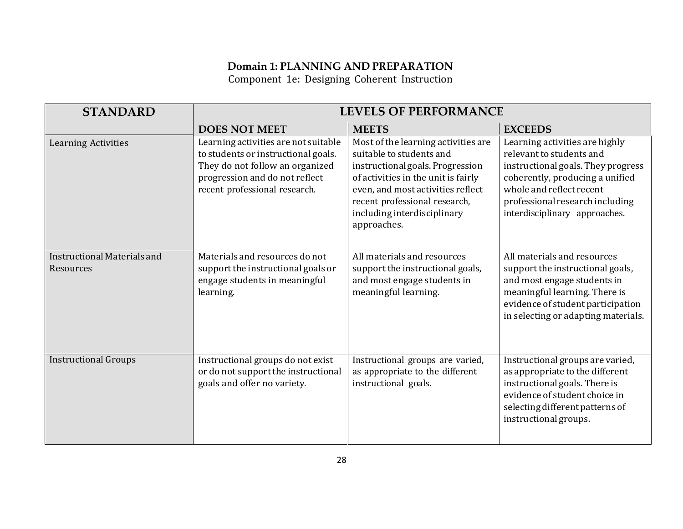Component 1e: Designing Coherent Instruction

| <b>STANDARD</b>                          |                                                                                                                                                                                   | <b>LEVELS OF PERFORMANCE</b>                                                                                                                                                                                                                                   |                                                                                                                                                                                                                                     |
|------------------------------------------|-----------------------------------------------------------------------------------------------------------------------------------------------------------------------------------|----------------------------------------------------------------------------------------------------------------------------------------------------------------------------------------------------------------------------------------------------------------|-------------------------------------------------------------------------------------------------------------------------------------------------------------------------------------------------------------------------------------|
|                                          | <b>DOES NOT MEET</b>                                                                                                                                                              | <b>MEETS</b>                                                                                                                                                                                                                                                   | <b>EXCEEDS</b>                                                                                                                                                                                                                      |
| <b>Learning Activities</b>               | Learning activities are not suitable<br>to students or instructional goals.<br>They do not follow an organized<br>progression and do not reflect<br>recent professional research. | Most of the learning activities are<br>suitable to students and<br>instructional goals. Progression<br>of activities in the unit is fairly<br>even, and most activities reflect<br>recent professional research,<br>including interdisciplinary<br>approaches. | Learning activities are highly<br>relevant to students and<br>instructional goals. They progress<br>coherently, producing a unified<br>whole and reflect recent<br>professional research including<br>interdisciplinary approaches. |
| Instructional Materials and<br>Resources | Materials and resources do not<br>support the instructional goals or<br>engage students in meaningful<br>learning.                                                                | All materials and resources<br>support the instructional goals,<br>and most engage students in<br>meaningful learning.                                                                                                                                         | All materials and resources<br>support the instructional goals,<br>and most engage students in<br>meaningful learning. There is<br>evidence of student participation<br>in selecting or adapting materials.                         |
| <b>Instructional Groups</b>              | Instructional groups do not exist<br>or do not support the instructional<br>goals and offer no variety.                                                                           | Instructional groups are varied,<br>as appropriate to the different<br>instructional goals.                                                                                                                                                                    | Instructional groups are varied,<br>as appropriate to the different<br>instructional goals. There is<br>evidence of student choice in<br>selecting different patterns of<br>instructional groups.                                   |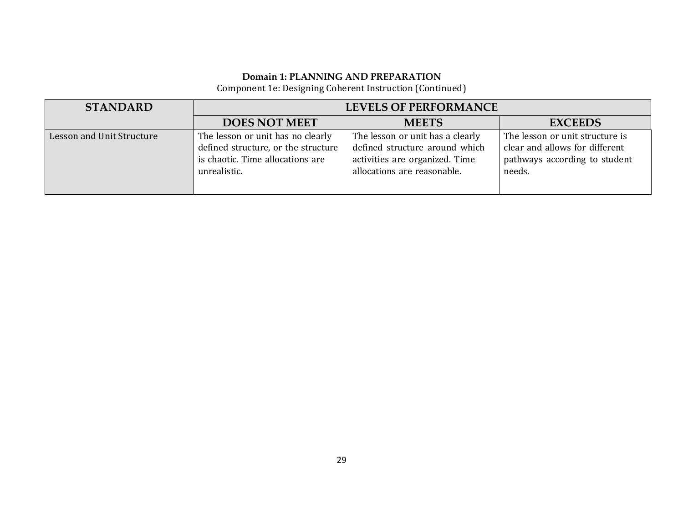Component 1e: Designing Coherent Instruction (Continued)

| <b>STANDARD</b>           | <b>LEVELS OF PERFORMANCE</b>                                                                                                 |                                                                                                                                     |                                                                                                              |
|---------------------------|------------------------------------------------------------------------------------------------------------------------------|-------------------------------------------------------------------------------------------------------------------------------------|--------------------------------------------------------------------------------------------------------------|
|                           | <b>DOES NOT MEET</b>                                                                                                         | <b>MEETS</b>                                                                                                                        | <b>EXCEEDS</b>                                                                                               |
| Lesson and Unit Structure | The lesson or unit has no clearly<br>defined structure, or the structure<br>is chaotic. Time allocations are<br>unrealistic. | The lesson or unit has a clearly<br>defined structure around which<br>activities are organized. Time<br>allocations are reasonable. | The lesson or unit structure is<br>clear and allows for different<br>pathways according to student<br>needs. |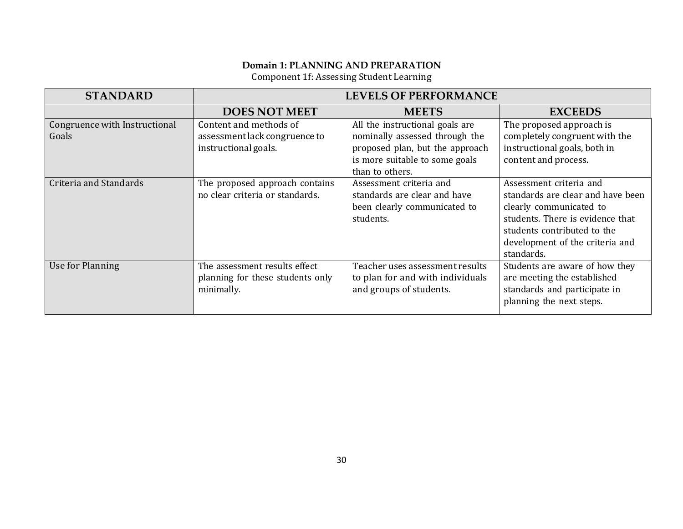Component 1f: Assessing Student Learning

| <b>STANDARD</b>                        |                                                                                 | <b>LEVELS OF PERFORMANCE</b>                                                                                                                              |                                                                                                                                                                                                             |
|----------------------------------------|---------------------------------------------------------------------------------|-----------------------------------------------------------------------------------------------------------------------------------------------------------|-------------------------------------------------------------------------------------------------------------------------------------------------------------------------------------------------------------|
|                                        | <b>DOES NOT MEET</b>                                                            | <b>MEETS</b>                                                                                                                                              | <b>EXCEEDS</b>                                                                                                                                                                                              |
| Congruence with Instructional<br>Goals | Content and methods of<br>assessment lack congruence to<br>instructional goals. | All the instructional goals are<br>nominally assessed through the<br>proposed plan, but the approach<br>is more suitable to some goals<br>than to others. | The proposed approach is<br>completely congruent with the<br>instructional goals, both in<br>content and process.                                                                                           |
| Criteria and Standards                 | The proposed approach contains<br>no clear criteria or standards.               | Assessment criteria and<br>standards are clear and have<br>been clearly communicated to<br>students.                                                      | Assessment criteria and<br>standards are clear and have been<br>clearly communicated to<br>students. There is evidence that<br>students contributed to the<br>development of the criteria and<br>standards. |
| Use for Planning                       | The assessment results effect<br>planning for these students only<br>minimally. | Teacher uses assessment results<br>to plan for and with individuals<br>and groups of students.                                                            | Students are aware of how they<br>are meeting the established<br>standards and participate in<br>planning the next steps.                                                                                   |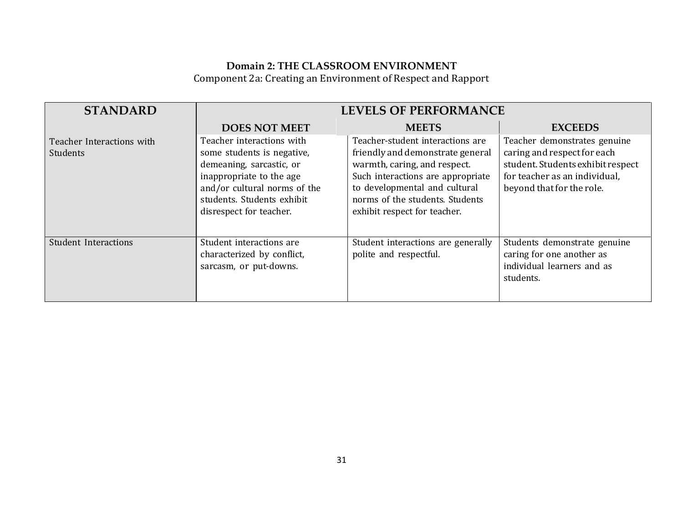## **Domain 2: THE CLASSROOM ENVIRONMENT** Component 2a: Creating an Environment of Respect and Rapport

| <b>STANDARD</b>                       | <b>LEVELS OF PERFORMANCE</b>                                                                                                                                                                             |                                                                                                                                                                                                                                               |                                                                                                                                                                |
|---------------------------------------|----------------------------------------------------------------------------------------------------------------------------------------------------------------------------------------------------------|-----------------------------------------------------------------------------------------------------------------------------------------------------------------------------------------------------------------------------------------------|----------------------------------------------------------------------------------------------------------------------------------------------------------------|
|                                       | <b>DOES NOT MEET</b>                                                                                                                                                                                     | <b>MEETS</b>                                                                                                                                                                                                                                  | <b>EXCEEDS</b>                                                                                                                                                 |
| Teacher Interactions with<br>Students | Teacher interactions with<br>some students is negative,<br>demeaning, sarcastic, or<br>inappropriate to the age<br>and/or cultural norms of the<br>students. Students exhibit<br>disrespect for teacher. | Teacher-student interactions are<br>friendly and demonstrate general<br>warmth, caring, and respect.<br>Such interactions are appropriate<br>to developmental and cultural<br>norms of the students. Students<br>exhibit respect for teacher. | Teacher demonstrates genuine<br>caring and respect for each<br>student. Students exhibit respect<br>for teacher as an individual,<br>beyond that for the role. |
| <b>Student Interactions</b>           | Student interactions are<br>characterized by conflict,<br>sarcasm, or put-downs.                                                                                                                         | Student interactions are generally<br>polite and respectful.                                                                                                                                                                                  | Students demonstrate genuine<br>caring for one another as<br>individual learners and as<br>students.                                                           |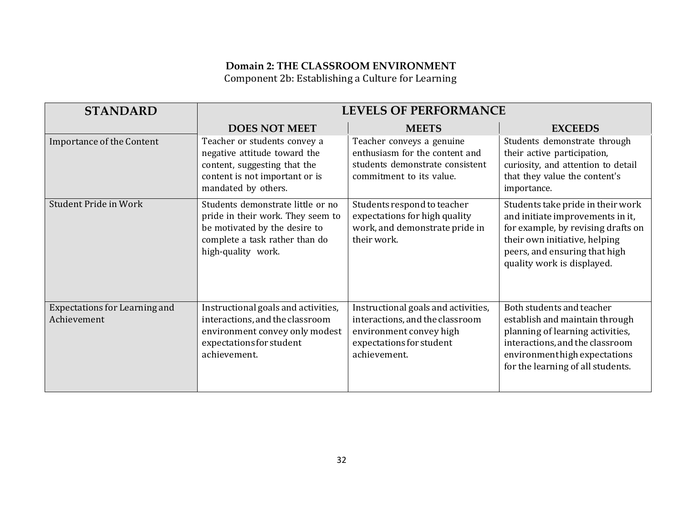## **Domain 2: THE CLASSROOM ENVIRONMENT** Component 2b: Establishing a Culture for Learning

| <b>STANDARD</b>                                     | <b>LEVELS OF PERFORMANCE</b>                                                                                                                                    |                                                                                                                                               |                                                                                                                                                                                                             |
|-----------------------------------------------------|-----------------------------------------------------------------------------------------------------------------------------------------------------------------|-----------------------------------------------------------------------------------------------------------------------------------------------|-------------------------------------------------------------------------------------------------------------------------------------------------------------------------------------------------------------|
|                                                     | <b>DOES NOT MEET</b>                                                                                                                                            | <b>MEETS</b>                                                                                                                                  | <b>EXCEEDS</b>                                                                                                                                                                                              |
| Importance of the Content                           | Teacher or students convey a<br>negative attitude toward the<br>content, suggesting that the<br>content is not important or is<br>mandated by others.           | Teacher conveys a genuine<br>enthusiasm for the content and<br>students demonstrate consistent<br>commitment to its value.                    | Students demonstrate through<br>their active participation,<br>curiosity, and attention to detail<br>that they value the content's<br>importance.                                                           |
| Student Pride in Work                               | Students demonstrate little or no<br>pride in their work. They seem to<br>be motivated by the desire to<br>complete a task rather than do<br>high-quality work. | Students respond to teacher<br>expectations for high quality<br>work, and demonstrate pride in<br>their work.                                 | Students take pride in their work<br>and initiate improvements in it,<br>for example, by revising drafts on<br>their own initiative, helping<br>peers, and ensuring that high<br>quality work is displayed. |
| <b>Expectations for Learning and</b><br>Achievement | Instructional goals and activities,<br>interactions, and the classroom<br>environment convey only modest<br>expectations for student<br>achievement.            | Instructional goals and activities,<br>interactions, and the classroom<br>environment convey high<br>expectations for student<br>achievement. | Both students and teacher<br>establish and maintain through<br>planning of learning activities,<br>interactions, and the classroom<br>environment high expectations<br>for the learning of all students.    |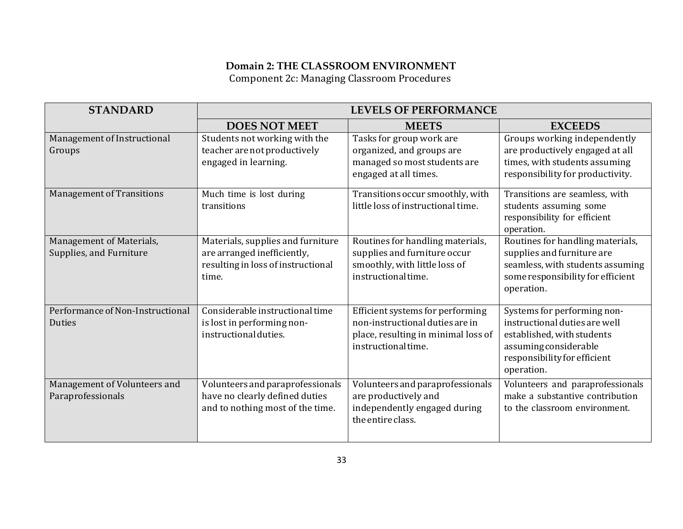#### **Domain 2: THE CLASSROOM ENVIRONMENT** Component 2c: Managing Classroom Procedures

| <b>STANDARD</b>                                     | <b>LEVELS OF PERFORMANCE</b>                                                                                    |                                                                                                                                   |                                                                                                                                                                   |
|-----------------------------------------------------|-----------------------------------------------------------------------------------------------------------------|-----------------------------------------------------------------------------------------------------------------------------------|-------------------------------------------------------------------------------------------------------------------------------------------------------------------|
|                                                     | <b>DOES NOT MEET</b>                                                                                            | <b>MEETS</b>                                                                                                                      | <b>EXCEEDS</b>                                                                                                                                                    |
| Management of Instructional<br>Groups               | Students not working with the<br>teacher are not productively<br>engaged in learning.                           | Tasks for group work are<br>organized, and groups are<br>managed so most students are<br>engaged at all times.                    | Groups working independently<br>are productively engaged at all<br>times, with students assuming<br>responsibility for productivity.                              |
| Management of Transitions                           | Much time is lost during<br>transitions                                                                         | Transitions occur smoothly, with<br>little loss of instructional time.                                                            | Transitions are seamless, with<br>students assuming some<br>responsibility for efficient<br>operation.                                                            |
| Management of Materials,<br>Supplies, and Furniture | Materials, supplies and furniture<br>are arranged inefficiently,<br>resulting in loss of instructional<br>time. | Routines for handling materials,<br>supplies and furniture occur<br>smoothly, with little loss of<br>instructional time.          | Routines for handling materials,<br>supplies and furniture are<br>seamless, with students assuming<br>some responsibility for efficient<br>operation.             |
| Performance of Non-Instructional<br><b>Duties</b>   | Considerable instructional time<br>is lost in performing non-<br>instructional duties.                          | Efficient systems for performing<br>non-instructional duties are in<br>place, resulting in minimal loss of<br>instructional time. | Systems for performing non-<br>instructional duties are well<br>established, with students<br>assuming considerable<br>responsibility for efficient<br>operation. |
| Management of Volunteers and<br>Paraprofessionals   | Volunteers and paraprofessionals<br>have no clearly defined duties<br>and to nothing most of the time.          | Volunteers and paraprofessionals<br>are productively and<br>independently engaged during<br>the entire class.                     | Volunteers and paraprofessionals<br>make a substantive contribution<br>to the classroom environment.                                                              |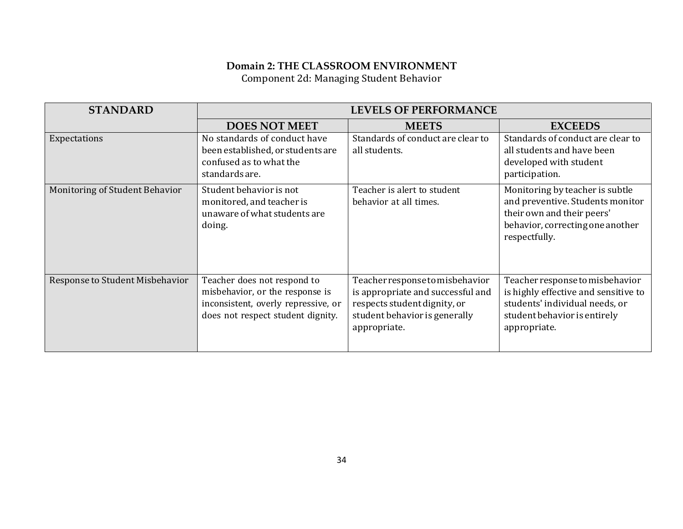#### **Domain 2: THE CLASSROOM ENVIRONMENT** Component 2d: Managing Student Behavior

| <b>STANDARD</b>                 | <b>LEVELS OF PERFORMANCE</b>                                                                                                               |                                                                                                                                                       |                                                                                                                                                           |
|---------------------------------|--------------------------------------------------------------------------------------------------------------------------------------------|-------------------------------------------------------------------------------------------------------------------------------------------------------|-----------------------------------------------------------------------------------------------------------------------------------------------------------|
|                                 | <b>DOES NOT MEET</b>                                                                                                                       | <b>MEETS</b>                                                                                                                                          | <b>EXCEEDS</b>                                                                                                                                            |
| Expectations                    | No standards of conduct have<br>been established, or students are<br>confused as to what the<br>standards are.                             | Standards of conduct are clear to<br>all students.                                                                                                    | Standards of conduct are clear to<br>all students and have been<br>developed with student<br>participation.                                               |
| Monitoring of Student Behavior  | Student behavior is not<br>monitored, and teacher is<br>unaware of what students are<br>doing.                                             | Teacher is alert to student<br>behavior at all times.                                                                                                 | Monitoring by teacher is subtle<br>and preventive. Students monitor<br>their own and their peers'<br>behavior, correcting one another<br>respectfully.    |
| Response to Student Misbehavior | Teacher does not respond to<br>misbehavior, or the response is<br>inconsistent, overly repressive, or<br>does not respect student dignity. | Teacher response to misbehavior<br>is appropriate and successful and<br>respects student dignity, or<br>student behavior is generally<br>appropriate. | Teacher response to misbehavior<br>is highly effective and sensitive to<br>students' individual needs, or<br>student behavior is entirely<br>appropriate. |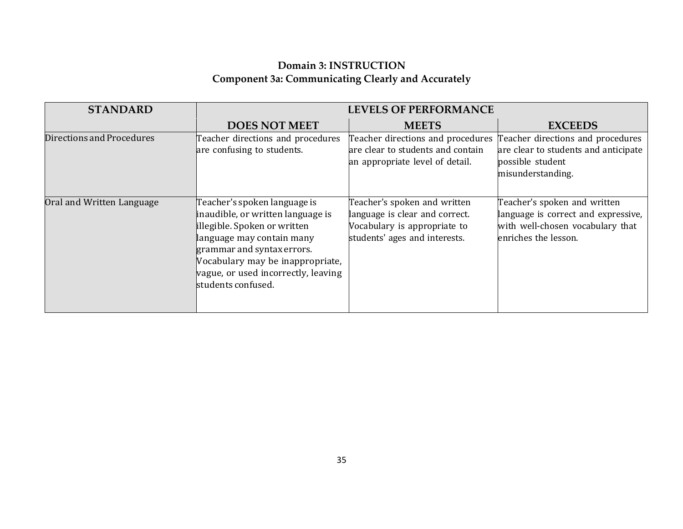## **Domain 3: INSTRUCTION Component 3a: Communicating Clearly and Accurately**

| <b>STANDARD</b>           | <b>LEVELS OF PERFORMANCE</b>                                                                                                                                                                                                                                  |                                                                                                                                 |                                                                                                                                 |
|---------------------------|---------------------------------------------------------------------------------------------------------------------------------------------------------------------------------------------------------------------------------------------------------------|---------------------------------------------------------------------------------------------------------------------------------|---------------------------------------------------------------------------------------------------------------------------------|
|                           | <b>DOES NOT MEET</b>                                                                                                                                                                                                                                          | <b>MEETS</b>                                                                                                                    | <b>EXCEEDS</b>                                                                                                                  |
| Directions and Procedures | Teacher directions and procedures<br>are confusing to students.                                                                                                                                                                                               | Teacher directions and procedures<br>are clear to students and contain<br>an appropriate level of detail.                       | Teacher directions and procedures<br>are clear to students and anticipate<br>possible student<br>misunderstanding.              |
| Oral and Written Language | Teacher's spoken language is<br>inaudible, or written language is<br>illegible. Spoken or written<br>language may contain many<br>grammar and syntax errors.<br>Vocabulary may be inappropriate,<br>vague, or used incorrectly, leaving<br>students confused. | Teacher's spoken and written<br>language is clear and correct.<br>Vocabulary is appropriate to<br>students' ages and interests. | Teacher's spoken and written<br>language is correct and expressive,<br>with well-chosen vocabulary that<br>enriches the lesson. |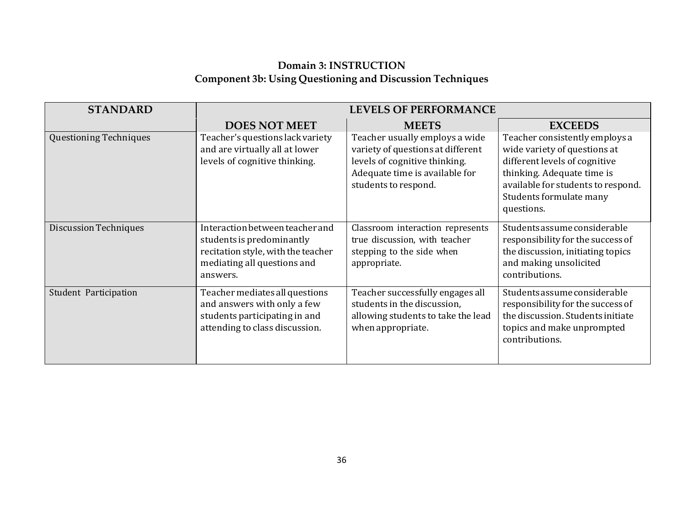## **Domain 3: INSTRUCTION Component 3b: Using Questioning and Discussion Techniques**

| <b>STANDARD</b>               |                                                                                                                                               | <b>LEVELS OF PERFORMANCE</b>                                                                                                                                   |                                                                                                                                                                                                              |
|-------------------------------|-----------------------------------------------------------------------------------------------------------------------------------------------|----------------------------------------------------------------------------------------------------------------------------------------------------------------|--------------------------------------------------------------------------------------------------------------------------------------------------------------------------------------------------------------|
|                               | <b>DOES NOT MEET</b>                                                                                                                          | <b>MEETS</b>                                                                                                                                                   | <b>EXCEEDS</b>                                                                                                                                                                                               |
| <b>Questioning Techniques</b> | Teacher's questions lack variety<br>and are virtually all at lower<br>levels of cognitive thinking.                                           | Teacher usually employs a wide<br>variety of questions at different<br>levels of cognitive thinking.<br>Adequate time is available for<br>students to respond. | Teacher consistently employs a<br>wide variety of questions at<br>different levels of cognitive<br>thinking. Adequate time is<br>available for students to respond.<br>Students formulate many<br>questions. |
| <b>Discussion Techniques</b>  | Interaction between teacher and<br>students is predominantly<br>recitation style, with the teacher<br>mediating all questions and<br>answers. | Classroom interaction represents<br>true discussion, with teacher<br>stepping to the side when<br>appropriate.                                                 | Students assume considerable<br>responsibility for the success of<br>the discussion, initiating topics<br>and making unsolicited<br>contributions.                                                           |
| Student Participation         | Teacher mediates all questions<br>and answers with only a few<br>students participating in and<br>attending to class discussion.              | Teacher successfully engages all<br>students in the discussion,<br>allowing students to take the lead<br>when appropriate.                                     | Students assume considerable<br>responsibility for the success of<br>the discussion. Students initiate<br>topics and make unprompted<br>contributions.                                                       |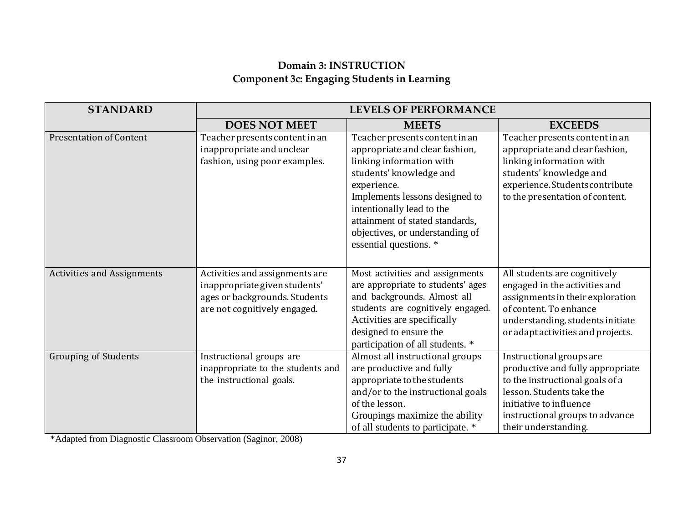## **Domain 3: INSTRUCTION Component 3c: Engaging Students in Learning**

| <b>STANDARD</b>                   |                                                                                                                                  | <b>LEVELS OF PERFORMANCE</b>                                                                                                                                                                                                                                                                          |                                                                                                                                                                                                                    |
|-----------------------------------|----------------------------------------------------------------------------------------------------------------------------------|-------------------------------------------------------------------------------------------------------------------------------------------------------------------------------------------------------------------------------------------------------------------------------------------------------|--------------------------------------------------------------------------------------------------------------------------------------------------------------------------------------------------------------------|
|                                   | <b>DOES NOT MEET</b>                                                                                                             | <b>MEETS</b>                                                                                                                                                                                                                                                                                          | <b>EXCEEDS</b>                                                                                                                                                                                                     |
| <b>Presentation of Content</b>    | Teacher presents content in an<br>inappropriate and unclear<br>fashion, using poor examples.                                     | Teacher presents content in an<br>appropriate and clear fashion,<br>linking information with<br>students' knowledge and<br>experience.<br>Implements lessons designed to<br>intentionally lead to the<br>attainment of stated standards,<br>objectives, or understanding of<br>essential questions. * | Teacher presents content in an<br>appropriate and clear fashion,<br>linking information with<br>students' knowledge and<br>experience. Students contribute<br>to the presentation of content.                      |
| <b>Activities and Assignments</b> | Activities and assignments are<br>inappropriate given students'<br>ages or backgrounds. Students<br>are not cognitively engaged. | Most activities and assignments<br>are appropriate to students' ages<br>and backgrounds. Almost all<br>students are cognitively engaged.<br>Activities are specifically<br>designed to ensure the<br>participation of all students. *                                                                 | All students are cognitively<br>engaged in the activities and<br>assignments in their exploration<br>of content. To enhance<br>understanding, students initiate<br>or adapt activities and projects.               |
| <b>Grouping of Students</b>       | Instructional groups are<br>inappropriate to the students and<br>the instructional goals.                                        | Almost all instructional groups<br>are productive and fully<br>appropriate to the students<br>and/or to the instructional goals<br>of the lesson.<br>Groupings maximize the ability<br>of all students to participate. *                                                                              | Instructional groups are<br>productive and fully appropriate<br>to the instructional goals of a<br>lesson. Students take the<br>initiative to influence<br>instructional groups to advance<br>their understanding. |

\*Adapted from Diagnostic Classroom Observation (Saginor, 2008)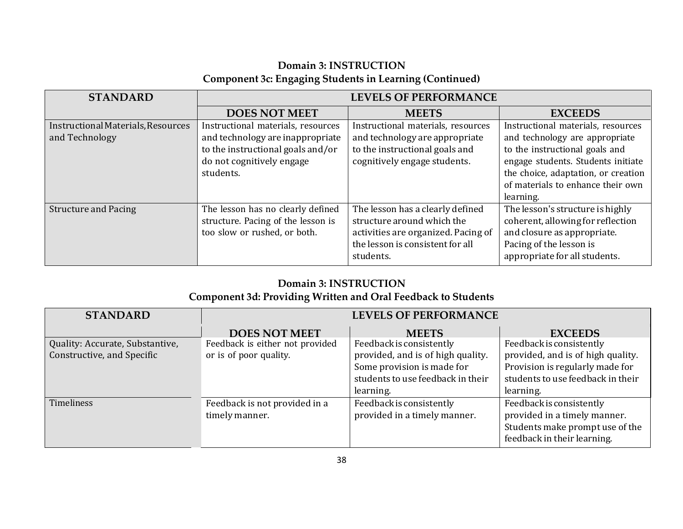## **Domain 3: INSTRUCTION Component 3c: Engaging Students in Learning (Continued)**

| <b>STANDARD</b>                    | <b>LEVELS OF PERFORMANCE</b>       |                                     |                                     |
|------------------------------------|------------------------------------|-------------------------------------|-------------------------------------|
|                                    | <b>DOES NOT MEET</b>               | <b>MEETS</b>                        | <b>EXCEEDS</b>                      |
| Instructional Materials, Resources | Instructional materials, resources | Instructional materials, resources  | Instructional materials, resources  |
| and Technology                     | and technology are inappropriate   | and technology are appropriate      | and technology are appropriate      |
|                                    | to the instructional goals and/or  | to the instructional goals and      | to the instructional goals and      |
|                                    | do not cognitively engage          | cognitively engage students.        | engage students. Students initiate  |
|                                    | students.                          |                                     | the choice, adaptation, or creation |
|                                    |                                    |                                     | of materials to enhance their own   |
|                                    |                                    |                                     | learning.                           |
| <b>Structure and Pacing</b>        | The lesson has no clearly defined  | The lesson has a clearly defined    | The lesson's structure is highly    |
|                                    | structure. Pacing of the lesson is | structure around which the          | coherent, allowing for reflection   |
|                                    | too slow or rushed, or both.       | activities are organized. Pacing of | and closure as appropriate.         |
|                                    |                                    | the lesson is consistent for all    | Pacing of the lesson is             |
|                                    |                                    | students.                           | appropriate for all students.       |

#### **Domain 3: INSTRUCTION**

## **Component 3d: Providing Written and Oral Feedback to Students**

| <b>STANDARD</b>                 | <b>LEVELS OF PERFORMANCE</b>    |                                   |                                   |
|---------------------------------|---------------------------------|-----------------------------------|-----------------------------------|
|                                 | <b>DOES NOT MEET</b>            | <b>MEETS</b>                      | <b>EXCEEDS</b>                    |
| Quality: Accurate, Substantive, | Feedback is either not provided | Feedback is consistently          | Feedback is consistently          |
| Constructive, and Specific      | or is of poor quality.          | provided, and is of high quality. | provided, and is of high quality. |
|                                 |                                 | Some provision is made for        | Provision is regularly made for   |
|                                 |                                 | students to use feedback in their | students to use feedback in their |
|                                 |                                 | learning.                         | learning.                         |
| <b>Timeliness</b>               | Feedback is not provided in a   | Feedback is consistently          | Feedback is consistently          |
|                                 | timely manner.                  | provided in a timely manner.      | provided in a timely manner.      |
|                                 |                                 |                                   | Students make prompt use of the   |
|                                 |                                 |                                   | feedback in their learning.       |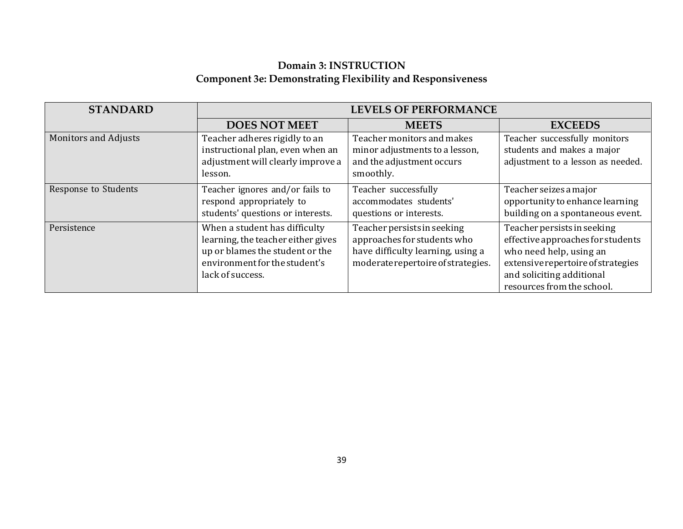## **Domain 3: INSTRUCTION Component 3e: Demonstrating Flexibility and Responsiveness**

| <b>STANDARD</b>             | <b>LEVELS OF PERFORMANCE</b>                                                                                                                                |                                                                                                                                       |                                                                                                                                                                                              |
|-----------------------------|-------------------------------------------------------------------------------------------------------------------------------------------------------------|---------------------------------------------------------------------------------------------------------------------------------------|----------------------------------------------------------------------------------------------------------------------------------------------------------------------------------------------|
|                             | <b>DOES NOT MEET</b>                                                                                                                                        | <b>MEETS</b>                                                                                                                          | <b>EXCEEDS</b>                                                                                                                                                                               |
| <b>Monitors and Adjusts</b> | Teacher adheres rigidly to an<br>instructional plan, even when an<br>adjustment will clearly improve a<br>lesson.                                           | Teacher monitors and makes<br>minor adjustments to a lesson,<br>and the adjustment occurs<br>smoothly.                                | Teacher successfully monitors<br>students and makes a major<br>adjustment to a lesson as needed.                                                                                             |
| Response to Students        | Teacher ignores and/or fails to<br>respond appropriately to<br>students' questions or interests.                                                            | Teacher successfully<br>accommodates students'<br>questions or interests.                                                             | Teacher seizes a major<br>opportunity to enhance learning<br>building on a spontaneous event.                                                                                                |
| Persistence                 | When a student has difficulty<br>learning, the teacher either gives<br>up or blames the student or the<br>environment for the student's<br>lack of success. | Teacher persists in seeking<br>approaches for students who<br>have difficulty learning, using a<br>moderate repertoire of strategies. | Teacher persists in seeking<br>effective approaches for students<br>who need help, using an<br>extensive repertoire of strategies<br>and soliciting additional<br>resources from the school. |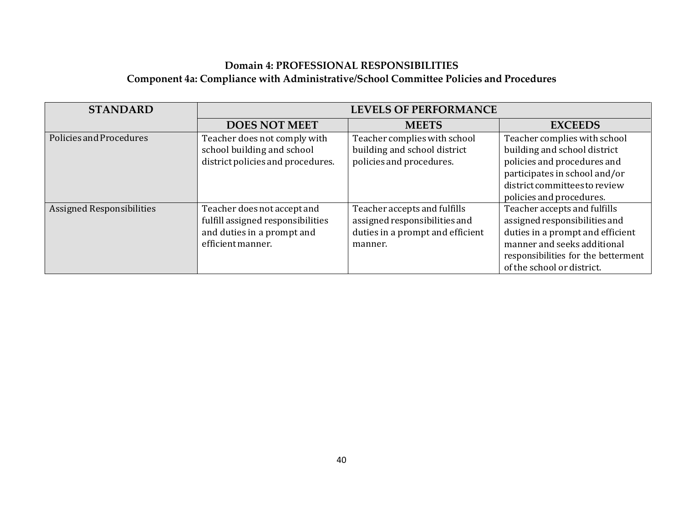## **Domain 4: PROFESSIONAL RESPONSIBILITIES Component 4a: Compliance with Administrative/School Committee Policies and Procedures**

| <b>STANDARD</b>                  | <b>LEVELS OF PERFORMANCE</b>                                                                                        |                                                                                                              |                                                                                                                                                                                                       |
|----------------------------------|---------------------------------------------------------------------------------------------------------------------|--------------------------------------------------------------------------------------------------------------|-------------------------------------------------------------------------------------------------------------------------------------------------------------------------------------------------------|
|                                  | <b>DOES NOT MEET</b>                                                                                                | <b>MEETS</b>                                                                                                 | <b>EXCEEDS</b>                                                                                                                                                                                        |
| Policies and Procedures          | Teacher does not comply with<br>school building and school<br>district policies and procedures.                     | Teacher complies with school<br>building and school district<br>policies and procedures.                     | Teacher complies with school<br>building and school district<br>policies and procedures and<br>participates in school and/or<br>district committees to review<br>policies and procedures.             |
| <b>Assigned Responsibilities</b> | Teacher does not accept and<br>fulfill assigned responsibilities<br>and duties in a prompt and<br>efficient manner. | Teacher accepts and fulfills<br>assigned responsibilities and<br>duties in a prompt and efficient<br>manner. | Teacher accepts and fulfills<br>assigned responsibilities and<br>duties in a prompt and efficient<br>manner and seeks additional<br>responsibilities for the betterment<br>of the school or district. |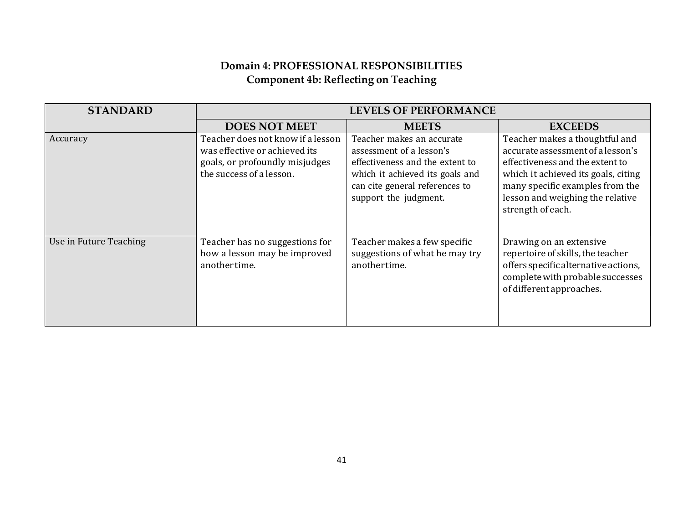## **Domain 4: PROFESSIONAL RESPONSIBILITIES Component 4b: Reflecting on Teaching**

| <b>STANDARD</b>        |                                                                                                                                  | <b>LEVELS OF PERFORMANCE</b>                                                                                                                                                           |                                                                                                                                                                                                                                           |
|------------------------|----------------------------------------------------------------------------------------------------------------------------------|----------------------------------------------------------------------------------------------------------------------------------------------------------------------------------------|-------------------------------------------------------------------------------------------------------------------------------------------------------------------------------------------------------------------------------------------|
|                        | <b>DOES NOT MEET</b>                                                                                                             | <b>MEETS</b>                                                                                                                                                                           | <b>EXCEEDS</b>                                                                                                                                                                                                                            |
| Accuracy               | Teacher does not know if a lesson<br>was effective or achieved its<br>goals, or profoundly misjudges<br>the success of a lesson. | Teacher makes an accurate<br>assessment of a lesson's<br>effectiveness and the extent to<br>which it achieved its goals and<br>can cite general references to<br>support the judgment. | Teacher makes a thoughtful and<br>accurate assessment of a lesson's<br>effectiveness and the extent to<br>which it achieved its goals, citing<br>many specific examples from the<br>lesson and weighing the relative<br>strength of each. |
| Use in Future Teaching | Teacher has no suggestions for<br>how a lesson may be improved<br>another time.                                                  | Teacher makes a few specific<br>suggestions of what he may try<br>anothertime.                                                                                                         | Drawing on an extensive<br>repertoire of skills, the teacher<br>offers specific alternative actions,<br>complete with probable successes<br>of different approaches.                                                                      |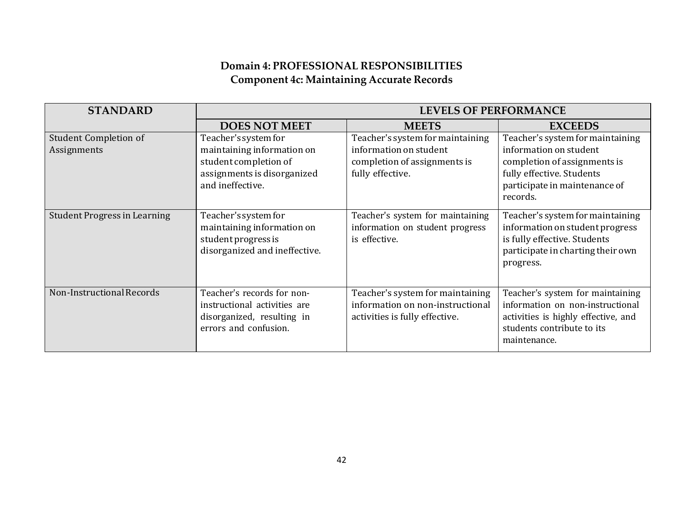## **Domain 4: PROFESSIONAL RESPONSIBILITIES Component 4c: Maintaining Accurate Records**

| <b>STANDARD</b>                             | <b>LEVELS OF PERFORMANCE</b>                                                                                                   |                                                                                                                |                                                                                                                                                                      |
|---------------------------------------------|--------------------------------------------------------------------------------------------------------------------------------|----------------------------------------------------------------------------------------------------------------|----------------------------------------------------------------------------------------------------------------------------------------------------------------------|
|                                             | <b>DOES NOT MEET</b>                                                                                                           | <b>MEETS</b>                                                                                                   | <b>EXCEEDS</b>                                                                                                                                                       |
| <b>Student Completion of</b><br>Assignments | Teacher's system for<br>maintaining information on<br>student completion of<br>assignments is disorganized<br>and ineffective. | Teacher's system for maintaining<br>information on student<br>completion of assignments is<br>fully effective. | Teacher's system for maintaining<br>information on student<br>completion of assignments is<br>fully effective. Students<br>participate in maintenance of<br>records. |
| <b>Student Progress in Learning</b>         | Teacher's system for<br>maintaining information on<br>student progress is<br>disorganized and ineffective.                     | Teacher's system for maintaining<br>information on student progress<br>is effective.                           | Teacher's system for maintaining<br>information on student progress<br>is fully effective. Students<br>participate in charting their own<br>progress.                |
| Non-Instructional Records                   | Teacher's records for non-<br>instructional activities are<br>disorganized, resulting in<br>errors and confusion.              | Teacher's system for maintaining<br>information on non-instructional<br>activities is fully effective.         | Teacher's system for maintaining<br>information on non-instructional<br>activities is highly effective, and<br>students contribute to its<br>maintenance.            |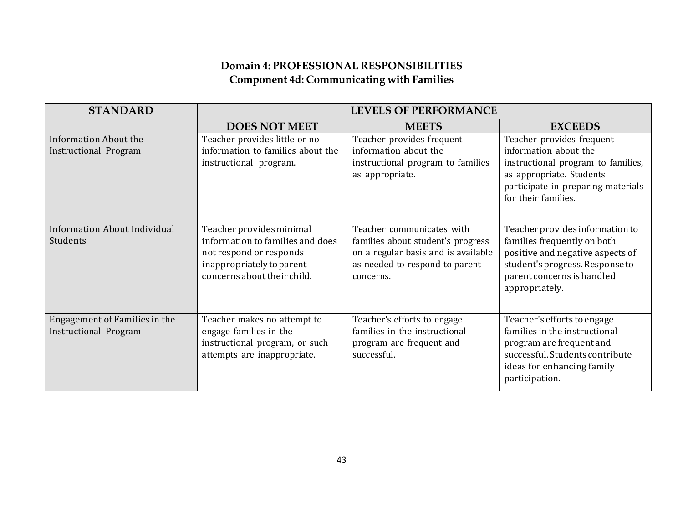## **Domain 4: PROFESSIONAL RESPONSIBILITIES Component 4d: Communicating with Families**

| <b>STANDARD</b>                                               |                                                                                                                                                     | <b>LEVELS OF PERFORMANCE</b>                                                                                                                         |                                                                                                                                                                                       |
|---------------------------------------------------------------|-----------------------------------------------------------------------------------------------------------------------------------------------------|------------------------------------------------------------------------------------------------------------------------------------------------------|---------------------------------------------------------------------------------------------------------------------------------------------------------------------------------------|
|                                                               | <b>DOES NOT MEET</b>                                                                                                                                | <b>MEETS</b>                                                                                                                                         | <b>EXCEEDS</b>                                                                                                                                                                        |
| <b>Information About the</b><br><b>Instructional Program</b>  | Teacher provides little or no<br>information to families about the<br>instructional program.                                                        | Teacher provides frequent<br>information about the<br>instructional program to families<br>as appropriate.                                           | Teacher provides frequent<br>information about the<br>instructional program to families,<br>as appropriate. Students<br>participate in preparing materials<br>for their families.     |
| <b>Information About Individual</b><br>Students               | Teacher provides minimal<br>information to families and does<br>not respond or responds<br>inappropriately to parent<br>concerns about their child. | Teacher communicates with<br>families about student's progress<br>on a regular basis and is available<br>as needed to respond to parent<br>concerns. | Teacher provides information to<br>families frequently on both<br>positive and negative aspects of<br>student's progress. Response to<br>parent concerns is handled<br>appropriately. |
| Engagement of Families in the<br><b>Instructional Program</b> | Teacher makes no attempt to<br>engage families in the<br>instructional program, or such<br>attempts are inappropriate.                              | Teacher's efforts to engage<br>families in the instructional<br>program are frequent and<br>successful.                                              | Teacher's efforts to engage<br>families in the instructional<br>program are frequent and<br>successful. Students contribute<br>ideas for enhancing family<br>participation.           |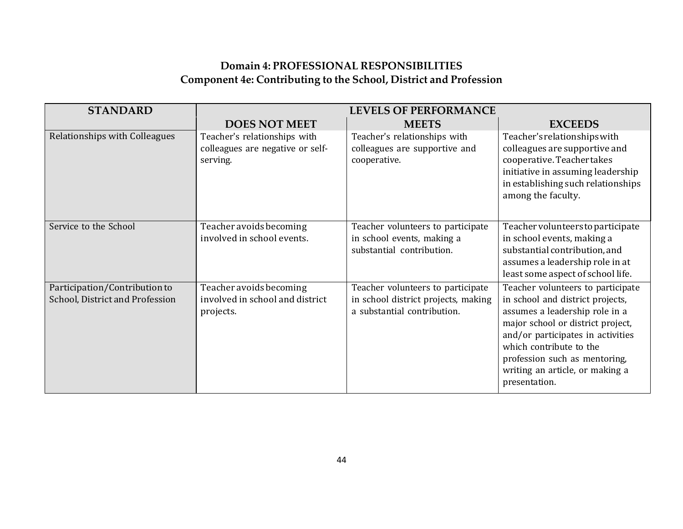## **Domain 4: PROFESSIONAL RESPONSIBILITIES Component 4e: Contributing to the School, District and Profession**

| <b>STANDARD</b>                                                  | <b>LEVELS OF PERFORMANCE</b>                                                 |                                                                                                         |                                                                                                                                                                                                                                                                                                   |  |
|------------------------------------------------------------------|------------------------------------------------------------------------------|---------------------------------------------------------------------------------------------------------|---------------------------------------------------------------------------------------------------------------------------------------------------------------------------------------------------------------------------------------------------------------------------------------------------|--|
|                                                                  | <b>DOES NOT MEET</b>                                                         | <b>MEETS</b>                                                                                            | <b>EXCEEDS</b>                                                                                                                                                                                                                                                                                    |  |
| Relationships with Colleagues                                    | Teacher's relationships with<br>colleagues are negative or self-<br>serving. | Teacher's relationships with<br>colleagues are supportive and<br>cooperative.                           | Teacher's relationships with<br>colleagues are supportive and<br>cooperative. Teacher takes<br>initiative in assuming leadership<br>in establishing such relationships<br>among the faculty.                                                                                                      |  |
| Service to the School                                            | Teacher avoids becoming<br>involved in school events.                        | Teacher volunteers to participate<br>in school events, making a<br>substantial contribution.            | Teacher volunteers to participate<br>in school events, making a<br>substantial contribution, and<br>assumes a leadership role in at<br>least some aspect of school life.                                                                                                                          |  |
| Participation/Contribution to<br>School, District and Profession | Teacher avoids becoming<br>involved in school and district<br>projects.      | Teacher volunteers to participate<br>in school district projects, making<br>a substantial contribution. | Teacher volunteers to participate<br>in school and district projects,<br>assumes a leadership role in a<br>major school or district project,<br>and/or participates in activities<br>which contribute to the<br>profession such as mentoring,<br>writing an article, or making a<br>presentation. |  |